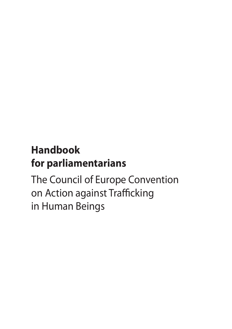# **Handbook for parliamentarians**

The Council of Europe Convention on Action against Trafficking in Human Beings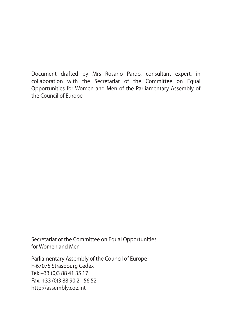Document drafted by Mrs Rosario Pardo, consultant expert, in collaboration with the Secretariat of the Committee on Equal Opportunities for Women and Men of the Parliamentary Assembly of the Council of Europe

Secretariat of the Committee on Equal Opportunities for Women and Men

Parliamentary Assembly of the Council of Europe F-67075 Strasbourg Cedex Tel: +33 (0)3 88 41 35 17 Fax: +33 (0)3 88 90 21 56 52 http://assembly.coe.int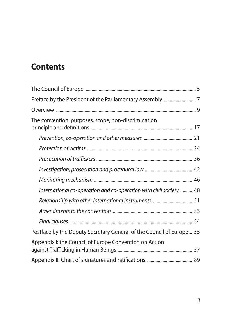## **Contents**

| The convention: purposes, scope, non-discrimination                  |  |
|----------------------------------------------------------------------|--|
|                                                                      |  |
|                                                                      |  |
|                                                                      |  |
|                                                                      |  |
|                                                                      |  |
| International co-operation and co-operation with civil society  48   |  |
|                                                                      |  |
|                                                                      |  |
|                                                                      |  |
| Postface by the Deputy Secretary General of the Council of Europe 55 |  |
| Appendix I: the Council of Europe Convention on Action               |  |
|                                                                      |  |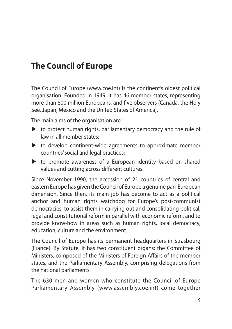## **The Council of Europe**

The Council of Europe (www.coe.int) is the continent's oldest political organisation. Founded in 1949, it has 46 member states, representing more than 800 million Europeans, and five observers (Canada, the Holy See, Japan, Mexico and the United States of America).

The main aims of the organisation are:

- $\triangleright$  to protect human rights, parliamentary democracy and the rule of law in all member states;
- $\triangleright$  to develop continent-wide agreements to approximate member countries' social and legal practices;
- $\triangleright$  to promote awareness of a European identity based on shared values and cutting across different cultures.

Since November 1990, the accession of 21 countries of central and eastern Europe has given the Council of Europe a genuine pan-European dimension. Since then, its main job has become to act as a political anchor and human rights watchdog for Europe's post-communist democracies, to assist them in carrying out and consolidating political, legal and constitutional reform in parallel with economic reform, and to provide know-how in areas such as human rights, local democracy, education, culture and the environment.

The Council of Europe has its permanent headquarters in Strasbourg (France). By Statute, it has two constituent organs: the Committee of Ministers, composed of the Ministers of Foreign Affairs of the member states, and the Parliamentary Assembly, comprising delegations from the national parliaments.

The 630 men and women who constitute the Council of Europe Parliamentary Assembly (www.assembly.coe.int) come together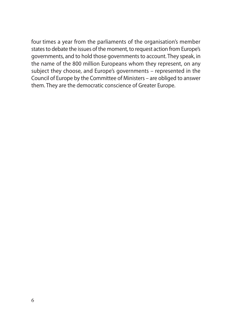four times a year from the parliaments of the organisation's member states to debate the issues of the moment, to request action from Europe's governments, and to hold those governments to account. They speak, in the name of the 800 million Europeans whom they represent, on any subject they choose, and Europe's governments – represented in the Council of Europe by the Committee of Ministers – are obliged to answer them. They are the democratic conscience of Greater Europe.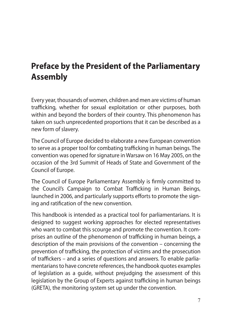## **Preface by the President of the Parliamentary Assembly**

Every year, thousands of women, children and men are victims of human trafficking, whether for sexual exploitation or other purposes, both within and beyond the borders of their country. This phenomenon has taken on such unprecedented proportions that it can be described as a new form of slavery.

The Council of Europe decided to elaborate a new European convention to serve as a proper tool for combating trafficking in human beings. The convention was opened for signature in Warsaw on 16 May 2005, on the occasion of the 3rd Summit of Heads of State and Government of the Council of Europe.

The Council of Europe Parliamentary Assembly is firmly committed to the Council's Campaign to Combat Trafficking in Human Beings, launched in 2006, and particularly supports efforts to promote the signing and ratification of the new convention.

This handbook is intended as a practical tool for parliamentarians. It is designed to suggest working approaches for elected representatives who want to combat this scourge and promote the convention. It comprises an outline of the phenomenon of trafficking in human beings, a description of the main provisions of the convention – concerning the prevention of trafficking, the protection of victims and the prosecution of traffickers – and a series of questions and answers. To enable parliamentarians to have concrete references, the handbook quotes examples of legislation as a guide, without prejudging the assessment of this legislation by the Group of Experts against trafficking in human beings (GRETA), the monitoring system set up under the convention.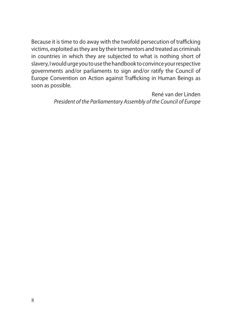Because it is time to do away with the twofold persecution of trafficking victims, exploited as they are by their tormentors and treated as criminals in countries in which they are subjected to what is nothing short of slavery, I would urge you to use the handbook to convince yourrespective governments and/or parliaments to sign and/or ratify the Council of Europe Convention on Action against Trafficking in Human Beings as soon as possible.

> René van der Linden *President of the Parliamentary Assembly of the Council of Europe*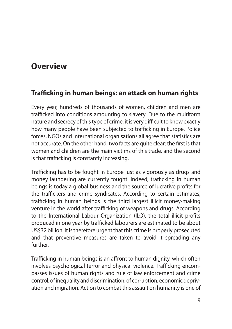## **Overview**

### **Trafficking in human beings: an attack on human rights**

Every year, hundreds of thousands of women, children and men are trafficked into conditions amounting to slavery. Due to the multiform nature and secrecy of this type of crime, it is very difficult to know exactly how many people have been subjected to trafficking in Europe. Police forces, NGOs and international organisations all agree that statistics are not accurate. On the other hand, two facts are quite clear: the first is that women and children are the main victims of this trade, and the second is that trafficking is constantly increasing.

Trafficking has to be fought in Europe just as vigorously as drugs and money laundering are currently fought. Indeed, trafficking in human beings is today a global business and the source of lucrative profits for the traffickers and crime syndicates. According to certain estimates, trafficking in human beings is the third largest illicit money-making venture in the world after trafficking of weapons and drugs. According to the International Labour Organization (ILO), the total illicit profits produced in one year by trafficked labourers are estimated to be about US\$32 billion. It is therefore urgent that this crime is properly prosecuted and that preventive measures are taken to avoid it spreading any further.

Trafficking in human beings is an affront to human dignity, which often involves psychological terror and physical violence. Trafficking encompasses issues of human rights and rule of law enforcement and crime control, of inequality and discrimination, of corruption, economic deprivation and migration. Action to combat this assault on humanity is one of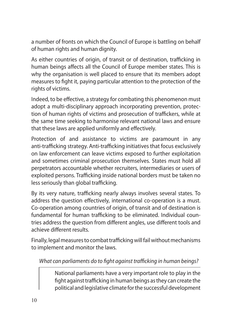a number of fronts on which the Council of Europe is battling on behalf of human rights and human dignity.

As either countries of origin, of transit or of destination, trafficking in human beings affects all the Council of Europe member states. This is why the organisation is well placed to ensure that its members adopt measures to fight it, paying particular attention to the protection of the rights of victims.

Indeed, to be effective, a strategy for combating this phenomenon must adopt a multi-disciplinary approach incorporating prevention, protection of human rights of victims and prosecution of traffickers, while at the same time seeking to harmonise relevant national laws and ensure that these laws are applied uniformly and effectively.

Protection of and assistance to victims are paramount in any anti-trafficking strategy. Anti-trafficking initiatives that focus exclusively on law enforcement can leave victims exposed to further exploitation and sometimes criminal prosecution themselves. States must hold all perpetrators accountable whether recruiters, intermediaries or users of exploited persons. Trafficking inside national borders must be taken no less seriously than global trafficking.

By its very nature, trafficking nearly always involves several states. To address the question effectively, international co-operation is a must. Co-operation among countries of origin, of transit and of destination is fundamental for human trafficking to be eliminated. Individual countries address the question from different angles, use different tools and achieve different results.

Finally, legal measures to combat trafficking will fail without mechanisms to implement and monitor the laws.

*What can parliaments do to fight against trafficking in human beings?*

 National parliaments have a very important role to play in the fight against trafficking in human beings as they can create the political and legislative climate for the successful development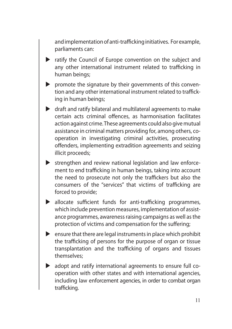and implementation of anti-trafficking initiatives. For example, parliaments can:

- ratify the Council of Europe convention on the subject and any other international instrument related to trafficking in human beings;
- promote the signature by their governments of this convention and any other international instrument related to trafficking in human beings;
- draft and ratify bilateral and multilateral agreements to make certain acts criminal offences, as harmonisation facilitates action against crime. These agreements could also give mutual assistance in criminal matters providing for, among others, cooperation in investigating criminal activities, prosecuting offenders, implementing extradition agreements and seizing illicit proceeds;
- $\triangleright$  strengthen and review national legislation and law enforcement to end trafficking in human beings, taking into account the need to prosecute not only the traffickers but also the consumers of the "services" that victims of trafficking are forced to provide;
- allocate sufficient funds for anti-trafficking programmes, which include prevention measures, implementation of assistance programmes, awareness raising campaigns as well as the protection of victims and compensation for the suffering;
- $\triangleright$  ensure that there are legal instruments in place which prohibit the trafficking of persons for the purpose of organ or tissue transplantation and the trafficking of organs and tissues themselves;
- adopt and ratify international agreements to ensure full cooperation with other states and with international agencies, including law enforcement agencies, in order to combat organ trafficking.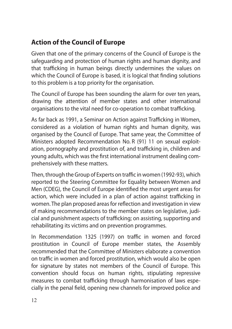### **Action of the Council of Europe**

Given that one of the primary concerns of the Council of Europe is the safeguarding and protection of human rights and human dignity, and that trafficking in human beings directly undermines the values on which the Council of Europe is based, it is logical that finding solutions to this problem is a top priority for the organisation.

The Council of Europe has been sounding the alarm for over ten years, drawing the attention of member states and other international organisations to the vital need for co-operation to combat trafficking.

As far back as 1991, a Seminar on Action against Trafficking in Women, considered as a violation of human rights and human dignity, was organised by the Council of Europe. That same year, the Committee of Ministers adopted Recommendation No. R (91) 11 on sexual exploitation, pornography and prostitution of, and trafficking in, children and young adults, which was the first international instrument dealing comprehensively with these matters.

Then, through the Group of Experts on traffic in women (1992-93), which reported to the Steering Committee for Equality between Women and Men (CDEG), the Council of Europe identified the most urgent areas for action, which were included in a plan of action against trafficking in women. The plan proposed areas for reflection and investigation in view of making recommendations to the member states on legislative, judicial and punishment aspects of trafficking; on assisting, supporting and rehabilitating its victims and on prevention programmes.

In Recommendation 1325 (1997) on traffic in women and forced prostitution in Council of Europe member states, the Assembly recommended that the Committee of Ministers elaborate a convention on traffic in women and forced prostitution, which would also be open for signature by states not members of the Council of Europe. This convention should focus on human rights, stipulating repressive measures to combat trafficking through harmonisation of laws especially in the penal field, opening new channels for improved police and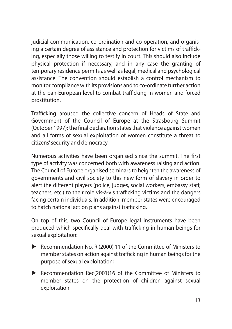judicial communication, co-ordination and co-operation, and organising a certain degree of assistance and protection for victims of trafficking, especially those willing to testify in court. This should also include physical protection if necessary, and in any case the granting of temporary residence permits as well as legal, medical and psychological assistance. The convention should establish a control mechanism to monitor compliance with its provisions and to co-ordinate further action at the pan-European level to combat trafficking in women and forced prostitution.

Trafficking aroused the collective concern of Heads of State and Government of the Council of Europe at the Strasbourg Summit (October 1997): the final declaration states that violence against women and all forms of sexual exploitation of women constitute a threat to citizens' security and democracy.

Numerous activities have been organised since the summit. The first type of activity was concerned both with awareness raising and action. The Council of Europe organised seminars to heighten the awareness of governments and civil society to this new form of slavery in order to alert the different players (police, judges, social workers, embassy staff, teachers, etc.) to their role vis-à-vis trafficking victims and the dangers facing certain individuals. In addition, member states were encouraged to hatch national action plans against trafficking.

On top of this, two Council of Europe legal instruments have been produced which specifically deal with trafficking in human beings for sexual exploitation:

- Recommendation No. R (2000) 11 of the Committee of Ministers to member states on action against trafficking in human beings for the purpose of sexual exploitation;
- Recommendation Rec(2001)16 of the Committee of Ministers to member states on the protection of children against sexual exploitation.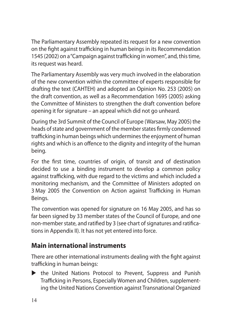The Parliamentary Assembly repeated its request for a new convention on the fight against trafficking in human beings in its Recommendation 1545 (2002) on a "Campaign against trafficking in women", and, this time, its request was heard.

The Parliamentary Assembly was very much involved in the elaboration of the new convention within the committee of experts responsible for drafting the text (CAHTEH) and adopted an Opinion No. 253 (2005) on the draft convention, as well as a Recommendation 1695 (2005) asking the Committee of Ministers to strengthen the draft convention before opening it for signature – an appeal which did not go unheard.

During the 3rd Summit of the Council of Europe (Warsaw, May 2005) the heads of state and government of the member states firmly condemned trafficking in human beings which undermines the enjoyment of human rights and which is an offence to the dignity and integrity of the human being.

For the first time, countries of origin, of transit and of destination decided to use a binding instrument to develop a common policy against trafficking, with due regard to the victims and which included a monitoring mechanism, and the Committee of Ministers adopted on 3 May 2005 the Convention on Action against Trafficking in Human Beings.

The convention was opened for signature on 16 May 2005, and has so far been signed by 33 member states of the Council of Europe, and one non-member state, and ratified by 3 (see chart of signatures and ratifications in Appendix II). It has not yet entered into force.

### **Main international instruments**

There are other international instruments dealing with the fight against trafficking in human beings:

▶ the United Nations Protocol to Prevent, Suppress and Punish Trafficking in Persons, Especially Women and Children, supplementing the United Nations Convention against Transnational Organized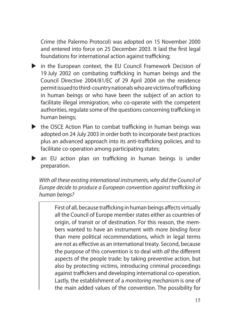Crime (the Palermo Protocol) was adopted on 15 November 2000 and entered into force on 25 December 2003. It laid the first legal foundations for international action against trafficking;

- in the European context, the EU Council Framework Decision of 19 July 2002 on combating trafficking in human beings and the Council Directive 2004/81/EC of 29 April 2004 on the residence permit issued to third-country nationals who are victims oftrafficking in human beings or who have been the subject of an action to facilitate illegal immigration, who co-operate with the competent authorities, regulate some of the questions concerning trafficking in human beings;
- $\blacktriangleright$  the OSCE Action Plan to combat trafficking in human beings was adopted on 24 July 2003 in order both to incorporate best practices plus an advanced approach into its anti-trafficking policies, and to facilitate co-operation among participating states;
- an EU action plan on trafficking in human beings is under preparation.

*With all these existing international instruments, why did the Council of Europe decide to produce a European convention against trafficking in human beings?*

 First of all, because trafficking in human beings affects virtually all the Council of Europe member states either as countries of origin, of transit or of destination. For this reason, the members wanted to have an instrument with more *binding force*  than mere political recommendations, which in legal terms are not as effective as an international treaty. Second, because the purpose of this convention is to deal with *all* the different aspects of the people trade: by taking preventive action, but also by protecting victims, introducing criminal proceedings against traffickers and developing international co-operation. Lastly, the establishment of a *monitoring mechanism* is one of the main added values of the convention. The possibility for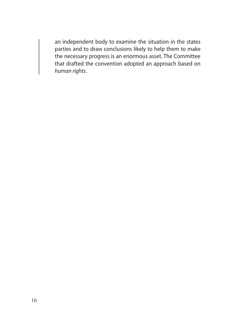an independent body to examine the situation in the states parties and to draw conclusions likely to help them to make the necessary progress is an enormous asset. The Committee that drafted the convention adopted an approach based on *human rights*.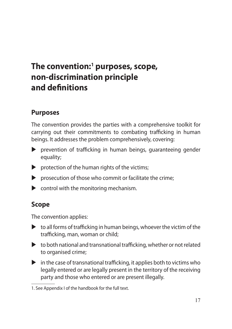## **The convention: purposes, scope, non‑discrimination principle and definitions**

### **Purposes**

The convention provides the parties with a comprehensive toolkit for carrying out their commitments to combating trafficking in human beings. It addresses the problem comprehensively, covering:

- $\triangleright$  prevention of trafficking in human beings, quaranteeing gender equality;
- $\triangleright$  protection of the human rights of the victims;
- $\blacktriangleright$  prosecution of those who commit or facilitate the crime;
- $\triangleright$  control with the monitoring mechanism.

### **Scope**

The convention applies:

- $\triangleright$  to all forms of trafficking in human beings, whoever the victim of the trafficking, man, woman or child;
- $\triangleright$  to both national and transnational trafficking, whether or not related to organised crime;
- $\triangleright$  in the case of transnational trafficking, it applies both to victims who legally entered or are legally present in the territory of the receiving party and those who entered or are present illegally.

<sup>1.</sup> See Appendix I of the handbook for the full text.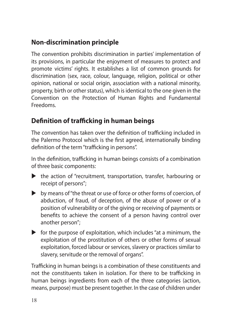### **Non-discrimination principle**

The convention prohibits discrimination in parties' implementation of its provisions, in particular the enjoyment of measures to protect and promote victims' rights. It establishes a list of common grounds for discrimination (sex, race, colour, language, religion, political or other opinion, national or social origin, association with a national minority, property, birth or other status), which is identical to the one given in the Convention on the Protection of Human Rights and Fundamental Freedoms.

### **Definition of trafficking in human beings**

The convention has taken over the definition of trafficking included in the Palermo Protocol which is the first agreed, internationally binding definition of the term "trafficking in persons".

In the definition, trafficking in human beings consists of a combination of three basic components:

- $\blacktriangleright$  the action of "recruitment, transportation, transfer, harbouring or receipt of persons";
- $\triangleright$  by means of "the threat or use of force or other forms of coercion, of abduction, of fraud, of deception, of the abuse of power or of a position of vulnerability or of the giving or receiving of payments or benefits to achieve the consent of a person having control over another person";
- $\triangleright$  for the purpose of exploitation, which includes "at a minimum, the exploitation of the prostitution of others or other forms of sexual exploitation, forced labour or services, slavery or practices similar to slavery, servitude or the removal of organs".

Trafficking in human beings is a combination of these constituents and not the constituents taken in isolation. For there to be trafficking in human beings ingredients from each of the three categories (action, means, purpose) must be present together. In the case of children under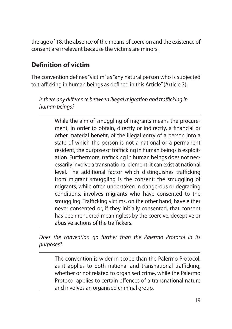the age of 18, the absence of the means of coercion and the existence of consent are irrelevant because the victims are minors.

### **Definition of victim**

The convention defines "victim" as "any natural person who is subjected to trafficking in human beings as defined in this Article" (Article 3).

*Is there any difference between illegal migration and trafficking in human beings?*

 While the aim of smuggling of migrants means the procurement, in order to obtain, directly or indirectly, a financial or other material benefit, of the illegal entry of a person into a state of which the person is not a national or a permanent resident, the purpose of trafficking in human beings is exploitation. Furthermore, trafficking in human beings does not necessarily involve a transnational element: it can exist at national level. The additional factor which distinguishes trafficking from migrant smuggling is the consent: the smuggling of migrants, while often undertaken in dangerous or degrading conditions, involves migrants who have consented to the smuggling. Trafficking victims, on the other hand, have either never consented or, if they initially consented, that consent has been rendered meaningless by the coercive, deceptive or abusive actions of the traffickers.

*Does the convention go further than the Palermo Protocol in its purposes?*

 The convention is wider in scope than the Palermo Protocol, as it applies to both national and transnational trafficking, whether or not related to organised crime, while the Palermo Protocol applies to certain offences of a transnational nature and involves an organised criminal group.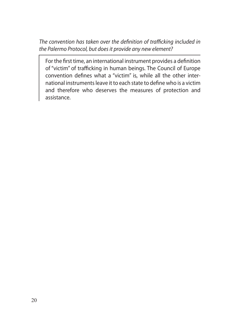*The convention has taken over the definition of trafficking included in the Palermo Protocol, but does it provide any new element?*

 For the first time, an international instrument provides a definition of "victim" of trafficking in human beings. The Council of Europe convention defines what a "victim" is, while all the other international instruments leave it to each state to define who is a victim and therefore who deserves the measures of protection and assistance.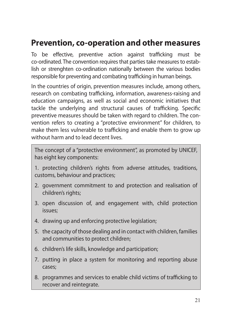## **Prevention, co-operation and other measures**

To be effective, preventive action against trafficking must be co-ordinated. The convention requires that parties take measures to establish or strenghten co-ordination nationally between the various bodies responsible for preventing and combating trafficking in human beings.

In the countries of origin, prevention measures include, among others, research on combating trafficking, information, awareness-raising and education campaigns, as well as social and economic initiatives that tackle the underlying and structural causes of trafficking. Specific preventive measures should be taken with regard to children. The convention refers to creating a "protective environment" for children, to make them less vulnerable to trafficking and enable them to grow up without harm and to lead decent lives.

The concept of a "protective environment", as promoted by UNICEF, has eight key components:

- 1. protecting children's rights from adverse attitudes, traditions, customs, behaviour and practices;
- 2. government commitment to and protection and realisation of children's rights;
- 3. open discussion of, and engagement with, child protection issues;
- 4. drawing up and enforcing protective legislation;
- 5. the capacity of those dealing and in contact with children, families and communities to protect children;
- 6. children's life skills, knowledge and participation;
- 7. putting in place a system for monitoring and reporting abuse cases;
- 8. programmes and services to enable child victims of trafficking to recover and reintegrate.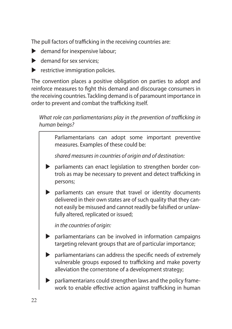The pull factors of trafficking in the receiving countries are:

- $\blacktriangleright$  demand for inexpensive labour;
- demand for sex services;
- restrictive immigration policies.

The convention places a positive obligation on parties to adopt and reinforce measures to fight this demand and discourage consumers in the receiving countries. Tackling demand is of paramount importance in order to prevent and combat the trafficking itself.

*What role can parliamentarians play in the prevention of trafficking in human beings?*

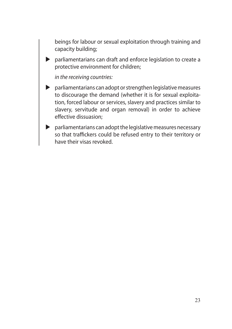beings for labour or sexual exploitation through training and capacity building;

 parliamentarians can draft and enforce legislation to create a protective environment for children;

 *in the receiving countries:*

- $\blacktriangleright$  parliamentarians can adopt or strengthen legislative measures to discourage the demand (whether it is for sexual exploitation, forced labour or services, slavery and practices similar to slavery, servitude and organ removal) in order to achieve effective dissuasion;
- parliamentarians can adopt the legislative measures necessary so that traffickers could be refused entry to their territory or have their visas revoked.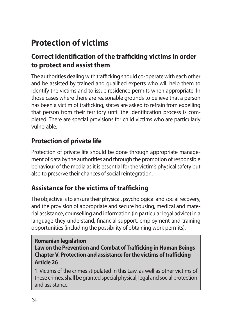## **Protection of victims**

### **Correct identification of the trafficking victims in order to protect and assist them**

The authorities dealing with trafficking should co-operate with each other and be assisted by trained and qualified experts who will help them to identify the victims and to issue residence permits when appropriate. In those cases where there are reasonable grounds to believe that a person has been a victim of trafficking, states are asked to refrain from expelling that person from their territory until the identification process is completed. There are special provisions for child victims who are particularly vulnerable.

### **Protection of private life**

Protection of private life should be done through appropriate management of data by the authorities and through the promotion of responsible behaviour of the media as it is essential for the victim's physical safety but also to preserve their chances of social reintegration.

### **Assistance for the victims of trafficking**

The objective is to ensure their physical, psychological and social recovery, and the provision of appropriate and secure housing, medical and material assistance, counselling and information (in particular legal advice) in a language they understand, financial support, employment and training opportunities (including the possibility of obtaining work permits).

#### **Romanian legislation**

**Law on the Prevention and Combat of Trafficking in Human Beings Chapter V. Protection and assistance for the victims of trafficking Article 26**

1. Victims of the crimes stipulated in this Law, as well as other victims of these crimes, shall be granted special physical, legal and social protection and assistance.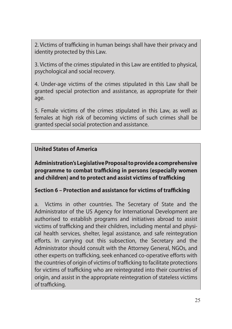2. Victims of trafficking in human beings shall have their privacy and identity protected by this Law.

3. Victims of the crimes stipulated in this Law are entitled to physical, psychological and social recovery.

4. Under-age victims of the crimes stipulated in this Law shall be granted special protection and assistance, as appropriate for their age.

5. Female victims of the crimes stipulated in this Law, as well as females at high risk of becoming victims of such crimes shall be granted special social protection and assistance.

#### **United States of America**

**Administration's Legislative Proposal to provide acomprehensive programme to combat trafficking in persons (especially women and children) and to protect and assist victims of trafficking**

#### **Section 6 – Protection and assistance for victims of trafficking**

a. Victims in other countries. The Secretary of State and the Administrator of the US Agency for International Development are authorised to establish programs and initiatives abroad to assist victims of trafficking and their children, including mental and physical health services, shelter, legal assistance, and safe reintegration efforts. In carrying out this subsection, the Secretary and the Administrator should consult with the Attorney General, NGOs, and other experts on trafficking, seek enhanced co-operative efforts with the countries of origin of victims of trafficking to facilitate protections for victims of trafficking who are reintegrated into their countries of origin, and assist in the appropriate reintegration of stateless victims of trafficking.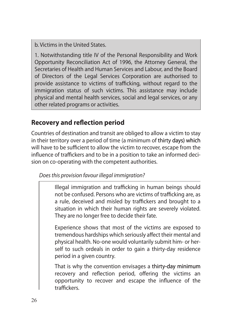b. Victims in the United States.

1. Notwithstanding title IV of the Personal Responsibility and Work Opportunity Reconciliation Act of 1996, the Attorney General, the Secretaries of Health and Human Services and Labour, and the Board of Directors of the Legal Services Corporation are authorised to provide assistance to victims of trafficking, without regard to the immigration status of such victims. This assistance may include physical and mental health services, social and legal services, or any other related programs or activities.

### **Recovery and reflection period**

Countries of destination and transit are obliged to allow a victim to stay in their territory over a period of time (a minimum of thirty days) which will have to be sufficient to allow the victim to recover, escape from the influence of traffickers and to be in a position to take an informed decision on co-operating with the competent authorities.

*Does this provision favour illegal immigration?*

 Illegal immigration and trafficking in human beings should not be confused. Persons who are victims of trafficking are, as a rule, deceived and misled by traffickers and brought to a situation in which their human rights are severely violated. They are no longer free to decide their fate.

 Experience shows that most of the victims are exposed to tremendous hardships which seriously affect their mental and physical health. No-one would voluntarily submit him- or herself to such ordeals in order to gain a thirty-day residence period in a given country.

That is why the convention envisages a thirty-day minimum recovery and reflection period, offering the victims an opportunity to recover and escape the influence of the traffickers.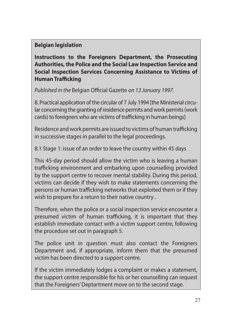#### **Belgian legislation**

**Instructions to the Foreigners Department, the Prosecuting Authorities, the Police and the Social Law Inspection Service and Social Inspection Services Concerning Assistance to Victims of Human Trafficking** 

*Published in the* Belgian Official Gazette *on 13 January 1997*.

8. Practical application of the circular of 7 July 1994 [the Ministerial circular concerning the granting of residence permits and work permits (work cards) to foreigners who are victims of trafficking in human beings]

Residence and work permits are issued to victims of human trafficking in successive stages in parallel to the legal proceedings.

8.1 Stage 1: issue of an order to leave the country within 45 days

This 45-day period should allow the victim who is leaving a human trafficking environment and embarking upon counselling provided by the support centre to recover mental stability. During this period, victims can decide if they wish to make statements concerning the persons or human trafficking networks that exploited them or if they wish to prepare for a return to their native country .

Therefore, when the police or a social inspection service encounter a presumed victim of human trafficking, it is important that they establish immediate contact with a victim support centre, following the procedure set out in paragraph 5.

The police unit in question must also contact the Foreigners Department and, if appropriate, inform them that the presumed victim has been directed to a support centre.

If the victim immediately lodges a complaint or makes a statement, the support centre responsible for his or her counselling can request that the Foreigners' Deptartment move on to the second stage.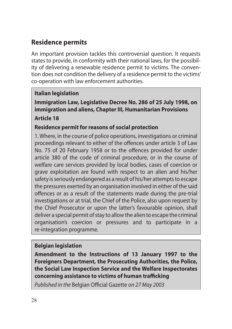### **Residence permits**

An important provision tackles this controversial question. It requests states to provide, in conformity with their national laws, for the possibility of delivering a renewable residence permit to victims. The convention does not condition the delivery of a residence permit to the victims' co-operation with law enforcement authorities.

#### **Italian legislation**

**Immigration Law, Legislative Decree No. 286 of 25 July 1998, on immigration and aliens, Chapter III, Humanitarian Provisions**

#### **Article 18**

#### **Residence permit for reasons of social protection**

1. Where, in the course of police operations, investigations or criminal proceedings relevant to either of the offences under article 3 of Law No. 75 of 20 February 1958 or to the offences provided for under article 380 of the code of criminal procedure, or in the course of welfare care services provided by local bodies, cases of coercion or grave exploitation are found with respect to an alien and his/her safety is seriously endangered as a result of his/her attempts to escape the pressures exerted by an organisation involved in either of the said offences or as a result of the statements made during the pre-trial investigations or at trial, the Chief of the Police, also upon request by the Chief Prosecutor or upon the latter's favourable opinion, shall deliver a special permit of stay to allow the alien to escape the criminal organisation's coercion or pressures and to participate in a re-integration programme.

#### **Belgian legislation**

**Amendment to the Instructions of 13 January 1997 to the Foreigners Department, the Prosecuting Authorities, the Police, the Social Law Inspection Service and the Welfare Inspectorates concerning assistance to victims of human trafficking**

*Published in the* Belgian Official Gazette *on 27 May 2003*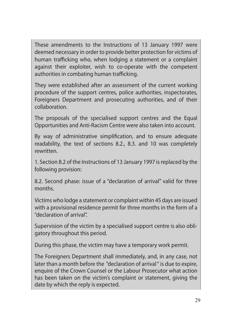These amendments to the Instructions of 13 January 1997 were deemed necessary in order to provide better protection for victims of human trafficking who, when lodging a statement or a complaint against their exploiter, wish to co-operate with the competent authorities in combating human trafficking.

They were established after an assessment of the current working procedure of the support centres, police authorities, inspectorates, Foreigners Department and prosecuting authorities, and of their collaboration.

The proposals of the specialised support centres and the Equal Opportunities and Anti-Racism Centre were also taken into account.

By way of administrative simplification, and to ensure adequate readability, the text of sections 8.2., 8.3. and 10 was completely rewritten.

1. Section 8.2 of the Instructions of 13 January 1997 is replaced by the following provision:

8.2. Second phase: issue of a "declaration of arrival" valid for three months.

Victims who lodge a statement or complaint within 45 days are issued with a provisional residence permit for three months in the form of a "declaration of arrival".

Supervision of the victim by a specialised support centre is also obligatory throughout this period.

During this phase, the victim may have a temporary work permit.

The Foreigners Department shall immediately, and, in any case, not later than a month before the "declaration of arrival " is due to expire, enquire of the Crown Counsel or the Labour Prosecutor what action has been taken on the victim's complaint or statement, giving the date by which the reply is expected.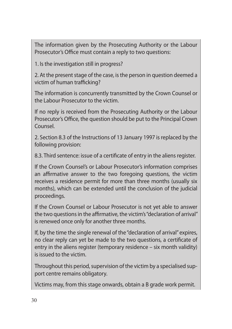The information given by the Prosecuting Authority or the Labour Prosecutor's Office must contain a reply to two questions:

1. Is the investigation still in progress?

2. At the present stage of the case, is the person in question deemed a victim of human trafficking?

The information is concurrently transmitted by the Crown Counsel or the Labour Prosecutor to the victim.

If no reply is received from the Prosecuting Authority or the Labour Prosecutor's Office, the question should be put to the Principal Crown Counsel.

2. Section 8.3 of the Instructions of 13 January 1997 is replaced by the following provision:

8.3. Third sentence: issue of a certificate of entry in the aliens register.

If the Crown Counsel's or Labour Prosecutor's information comprises an affirmative answer to the two foregoing questions, the victim receives a residence permit for more than three months (usually six months), which can be extended until the conclusion of the judicial proceedings.

If the Crown Counsel or Labour Prosecutor is not yet able to answer the two questions in the affirmative, the victim's "declaration of arrival" is renewed once only for another three months.

If, by the time the single renewal of the "declaration of arrival" expires, no clear reply can yet be made to the two questions, a certificate of entry in the aliens register (temporary residence – six month validity) is issued to the victim.

Throughout this period, supervision of the victim by a specialised support centre remains obligatory.

Victims may, from this stage onwards, obtain a B grade work permit.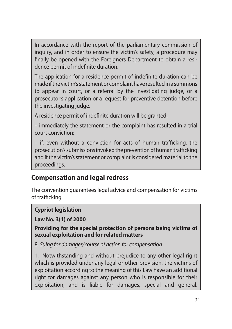In accordance with the report of the parliamentary commission of inquiry, and in order to ensure the victim's safety, a procedure may finally be opened with the Foreigners Department to obtain a residence permit of indefinite duration.

The application for a residence permit of indefinite duration can be made if the victim's statement or complaint have resulted in asummons to appear in court, or a referral by the investigating judge, or a prosecutor's application or a request for preventive detention before the investigating judge.

A residence permit of indefinite duration will be granted:

– immediately the statement or the complaint has resulted in a trial court conviction;

– if, even without a conviction for acts of human trafficking, the prosecution's submissions invoked the prevention of humantrafficking and if the victim's statement or complaint is considered material to the proceedings.

### **Compensation and legal redress**

The convention guarantees legal advice and compensation for victims of trafficking.

#### **Cypriot legislation**

#### **Law No. 3(1) of 2000**

**Providing for the special protection of persons being victims of sexual exploitation and for related matters**

8. *Suing for damages/course of action for compensation*

1. Notwithstanding and without prejudice to any other legal right which is provided under any legal or other provision, the victims of exploitation according to the meaning of this Law have an additional right for damages against any person who is responsible for their exploitation, and is liable for damages, special and general.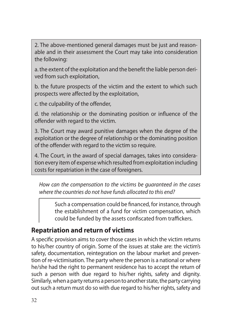2. The above-mentioned general damages must be just and reasonable and in their assessment the Court may take into consideration the following:

a. the extent of the exploitation and the benefit the liable person derived from such exploitation,

b. the future prospects of the victim and the extent to which such prospects were affected by the exploitation,

c. the culpability of the offender,

d. the relationship or the dominating position or influence of the offender with regard to the victim.

3. The Court may award punitive damages when the degree of the exploitation or the degree of relationship or the dominating position of the offender with regard to the victim so require.

4. The Court, in the award of special damages, takes into consideration every item of expense which resulted from exploitation including costs for repatriation in the case of foreigners.

*How can the compensation to the victims be guaranteed in the cases where the countries do not have funds allocated to this end?*

 Such a compensation could be financed, for instance, through the establishment of a fund for victim compensation, which could be funded by the assets confiscated from traffickers.

### **Repatriation and return of victims**

A specific provision aims to cover those cases in which the victim returns to his/her country of origin. Some of the issues at stake are: the victim's safety, documentation, reintegration on the labour market and prevention of re-victimisation. The party where the person is a national or where he/she had the right to permanent residence has to accept the return of such a person with due regard to his/her rights, safety and dignity. Similarly, when a party returns a person to another state, the party carrying out such a return must do so with due regard to his/her rights, safety and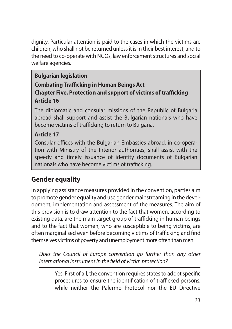dignity. Particular attention is paid to the cases in which the victims are children, who shall not be returned unless it is in their best interest, and to the need to co-operate with NGOs, law enforcement structures and social welfare agencies.

### **Bulgarian legislation**

### **Combating Trafficking in Human Beings Act Chapter Five. Protection and support of victims of trafficking Article 16**

The diplomatic and consular missions of the Republic of Bulgaria abroad shall support and assist the Bulgarian nationals who have become victims of trafficking to return to Bulgaria.

#### **Article 17**

Consular offices with the Bulgarian Embassies abroad, in co-operation with Ministry of the Interior authorities, shall assist with the speedy and timely issuance of identity documents of Bulgarian nationals who have become victims of trafficking.

### **Gender equality**

In applying assistance measures provided in the convention, parties aim to promote gender equality and use gender mainstreaming in the development, implementation and assessment of the measures. The aim of this provision is to draw attention to the fact that women, according to existing data, are the main target group of trafficking in human beings and to the fact that women, who are susceptible to being victims, are often marginalised even before becoming victims of trafficking and find themselves victims of poverty and unemployment more often than men.

*Does the Council of Europe convention go further than any other international instrument in the field of victim protection?*

 Yes. First of all, the convention requires states to adopt specific procedures to ensure the identification of trafficked persons, while neither the Palermo Protocol nor the EU Directive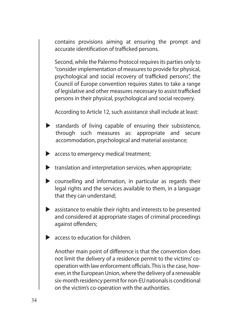contains provisions aiming at ensuring the prompt and accurate identification of trafficked persons.

 Second, while the Palermo Protocol requires its parties only to "consider implementation of measures to provide for physical, psychological and social recovery of trafficked persons", the Council of Europe convention requires states to take a range of legislative and other measures necessary to assist trafficked persons in their physical, psychological and social recovery.

According to Article 12, such assistance shall include at least:

- $\triangleright$  standards of living capable of ensuring their subsistence, through such measures as: appropriate and secure accommodation, psychological and material assistance;
- **access to emergency medical treatment;**
- $\blacktriangleright$  translation and interpretation services, when appropriate;
- counselling and information, in particular as regards their legal rights and the services available to them, in a language that they can understand;
- sistance to enable their rights and interests to be presented and considered at appropriate stages of criminal proceedings against offenders;
- **Access to education for children.**

 Another main point of difference is that the convention does not limit the delivery of a residence permit to the victims' cooperation with law enforcement officials. This is the case, however, in the European Union, where the delivery of a renewable six-month residency permit for non-EU nationals is conditional on the victim's co-operation with the authorities.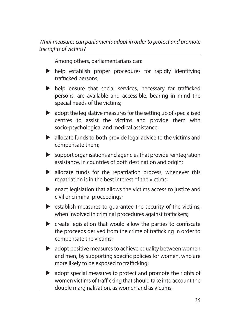*What measures can parliaments adopt in order to protect and promote the rights of victims?*

Among others, parliamentarians can:

- $\blacktriangleright$  help establish proper procedures for rapidly identifying trafficked persons;
- help ensure that social services, necessary for trafficked persons, are available and accessible, bearing in mind the special needs of the victims;
- $\blacktriangleright$  adopt the legislative measures for the setting up of specialised centres to assist the victims and provide them with socio-psychological and medical assistance;
- $\blacktriangleright$  allocate funds to both provide legal advice to the victims and compensate them;
- $\blacktriangleright$  support organisations and agencies that provide reintegration assistance, in countries of both destination and origin;
- $\blacktriangleright$  allocate funds for the repatriation process, whenever this repatriation is in the best interest of the victims;
- $\blacktriangleright$  enact legislation that allows the victims access to justice and civil or criminal proceedings;
- $\blacktriangleright$  establish measures to quarantee the security of the victims, when involved in criminal procedures against traffickers;
- $\triangleright$  create legislation that would allow the parties to confiscate the proceeds derived from the crime of trafficking in order to compensate the victims;
- $\blacktriangleright$  adopt positive measures to achieve equality between women and men, by supporting specific policies for women, who are more likely to be exposed to trafficking;
- $\blacktriangleright$  adopt special measures to protect and promote the rights of women victims of trafficking that should take into account the double marginalisation, as women and as victims.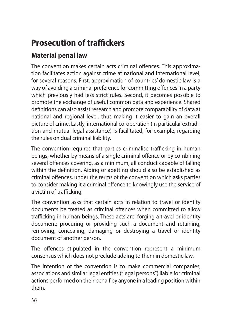## **Prosecution of traffickers**

### **Material penal law**

The convention makes certain acts criminal offences. This approximation facilitates action against crime at national and international level, for several reasons. First, approximation of countries' domestic law is a way of avoiding a criminal preference for committing offences in a party which previously had less strict rules. Second, it becomes possible to promote the exchange of useful common data and experience. Shared definitions can also assist research and promote comparability of data at national and regional level, thus making it easier to gain an overall picture of crime. Lastly, international co-operation (in particular extradition and mutual legal assistance) is facilitated, for example, regarding the rules on dual criminal liability.

The convention requires that parties criminalise trafficking in human beings, whether by means of a single criminal offence or by combining several offences covering, as a minimum, all conduct capable of falling within the definition. Aiding or abetting should also be established as criminal offences, under the terms of the convention which asks parties to consider making it a criminal offence to knowingly use the service of a victim of trafficking.

The convention asks that certain acts in relation to travel or identity documents be treated as criminal offences when committed to allow trafficking in human beings. These acts are: forging a travel or identity document; procuring or providing such a document and retaining, removing, concealing, damaging or destroying a travel or identity document of another person.

The offences stipulated in the convention represent a minimum consensus which does not preclude adding to them in domestic law.

The intention of the convention is to make commercial companies, associations and similar legal entities ("legal persons") liable for criminal actions performed on their behalf by anyone in a leading position within them.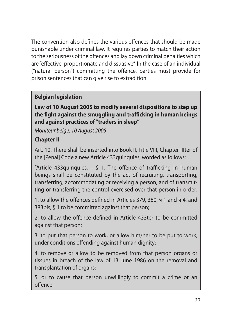The convention also defines the various offences that should be made punishable under criminal law. It requires parties to match their action to the seriousness of the offences and lay down criminal penalties which are "effective, proportionate and dissuasive". In the case of an individual ("natural person") committing the offence, parties must provide for prison sentences that can give rise to extradition.

### **Belgian legislation**

### **Law of 10 August 2005 to modify several dispositions to step up the fight against the smuggling and trafficking in human beings and against practices of "traders in sleep"**

*Moniteur belge, 10 August 2005*

### **Chapter II**

Art. 10. There shall be inserted into Book II, Title VIII, Chapter IIIter of the [Penal] Code a new Article 433quinquies, worded as follows:

"Article 433quinquies.  $-$  § 1. The offence of trafficking in human beings shall be constituted by the act of recruiting, transporting, transferring, accommodating or receiving a person, and of transmitting or transferring the control exercised over that person in order:

1. to allow the offences defined in Articles 379, 380, § 1 and § 4, and 383bis, § 1 to be committed against that person;

2. to allow the offence defined in Article 433ter to be committed against that person;

3. to put that person to work, or allow him/her to be put to work, under conditions offending against human dignity;

4. to remove or allow to be removed from that person organs or tissues in breach of the law of 13 June 1986 on the removal and transplantation of organs;

5. or to cause that person unwillingly to commit a crime or an offence.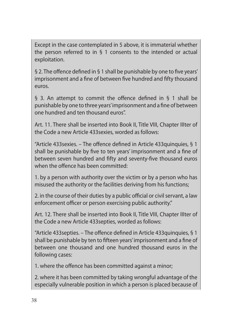Except in the case contemplated in 5 above, it is immaterial whether the person referred to in § 1 consents to the intended or actual exploitation.

§ 2. The offence defined in § 1 shall be punishable by one to five years' imprisonment and a fine of between five hundred and fifty thousand euros.

§ 3. An attempt to commit the offence defined in § 1 shall be punishable by one to three years' imprisonment and a fine of between one hundred and ten thousand euros".

Art. 11. There shall be inserted into Book II, Title VIII, Chapter IIIter of the Code a new Article 433sexies, worded as follows:

"Article 433sexies. – The offence defined in Article 433quinquies, § 1 shall be punishable by five to ten years' imprisonment and a fine of between seven hundred and fifty and seventy-five thousand euros when the offence has been committed.

1. by a person with authority over the victim or by a person who has misused the authority or the facilities deriving from his functions;

2. in the course of their duties by a public official or civil servant, a law enforcement officer or person exercising public authority."

Art. 12. There shall be inserted into Book II, Title VIII, Chapter IIIter of the Code a new Article 433septies, worded as follows:

"Article 433septies. – The offence defined in Article 433quinquies, § 1 shall be punishable by ten to fifteen years' imprisonment and a fine of between one thousand and one hundred thousand euros in the following cases:

1. where the offence has been committed against a minor;

2. where it has been committed by taking wrongful advantage of the especially vulnerable position in which a person is placed because of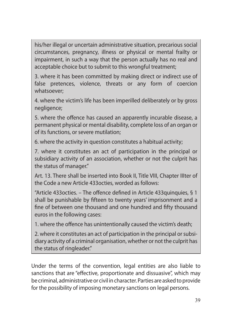his/her illegal or uncertain administrative situation, precarious social circumstances, pregnancy, illness or physical or mental frailty or impairment, in such a way that the person actually has no real and acceptable choice but to submit to this wrongful treatment;

3. where it has been committed by making direct or indirect use of false pretences, violence, threats or any form of coercion whatsoever;

4. where the victim's life has been imperilled deliberately or by gross negligence;

5. where the offence has caused an apparently incurable disease, a permanent physical or mental disability, complete loss of an organ or of its functions, or severe mutilation;

6. where the activity in question constitutes a habitual activity;

7. where it constitutes an act of participation in the principal or subsidiary activity of an association, whether or not the culprit has the status of manager."

Art. 13. There shall be inserted into Book II, Title VIII, Chapter IIIter of the Code a new Article 433octies, worded as follows:

"Article 433octies. – The offence defined in Article 433quinquies, § 1 shall be punishable by fifteen to twenty years' imprisonment and a fine of between one thousand and one hundred and fifty thousand euros in the following cases:

1. where the offence has unintentionally caused the victim's death;

2. where it constitutes an act of participation in the principal or subsidiary activity of a criminal organisation, whether or not the culprit has the status of ringleader."

Under the terms of the convention, legal entities are also liable to sanctions that are "effective, proportionate and dissuasive", which may be criminal, administrative or civil in character. Parties are asked toprovide for the possibility of imposing monetary sanctions on legal persons.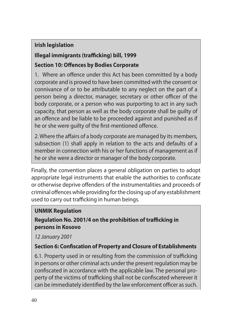### **Irish legislation**

# **Illegal immigrants (trafficking) bill, 1999**

### **Section 10: Offences by Bodies Corporate**

1. Where an offence under this Act has been committed by a body corporate and is proved to have been committed with the consent or connivance of or to be attributable to any neglect on the part of a person being a director, manager, secretary or other officer of the body corporate, or a person who was purporting to act in any such capacity, that person as well as the body corporate shall be guilty of an offence and be liable to be proceeded against and punished as if he or she were guilty of the first-mentioned offence.

2. Where the affairs of a body corporate are managed by its members, subsection (1) shall apply in relation to the acts and defaults of a member in connection with his or her functions of management as if he or she were a director or manager of the body corporate.

Finally, the convention places a general obligation on parties to adopt appropriate legal instruments that enable the authorities to confiscate or otherwise deprive offenders of the instrumentalities and proceeds of criminal offences while providing for the closing up of any establishment used to carry out trafficking in human beings.

### **UNMIK Regulation**

### **Regulation No. 2001/4 on the prohibition of trafficking in persons in Kosovo**

*12 January 2001*

### **Section 6: Confiscation of Property and Closure of Establishments**

6.1. Property used in or resulting from the commission of trafficking in persons or other criminal acts under the present regulation may be confiscated in accordance with the applicable law. The personal property of the victims of trafficking shall not be confiscated wherever it can be immediately identified by the law enforcement officer as such.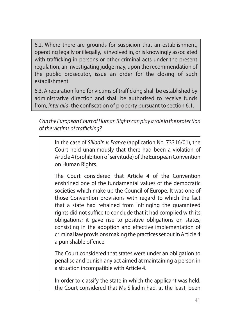6.2. Where there are grounds for suspicion that an establishment, operating legally or illegally, is involved in, or is knowingly associated with trafficking in persons or other criminal acts under the present regulation, an investigating judge may, upon the recommendation of the public prosecutor, issue an order for the closing of such establishment.

6.3. A reparation fund for victims of trafficking shall be established by administrative direction and shall be authorised to receive funds from, *inter alia*, the confiscation of property pursuant to section 6.1.

*Can the European Court of Human Rights can play a role in the protection of the victims of trafficking?*

 In the case of *Siliadin v. France* (application No. 73316/01), the Court held unanimously that there had been a violation of Article 4 (prohibition of servitude) of the European Convention on Human Rights.

 The Court considered that Article 4 of the Convention enshrined one of the fundamental values of the democratic societies which make up the Council of Europe. It was one of those Convention provisions with regard to which the fact that a state had refrained from infringing the guaranteed rights did not suffice to conclude that it had complied with its obligations; it gave rise to positive obligations on states, consisting in the adoption and effective implementation of criminal law provisions making the practices set out in Article 4 a punishable offence.

 The Court considered that states were under an obligation to penalise and punish any act aimed at maintaining a person in a situation incompatible with Article 4.

 In order to classify the state in which the applicant was held, the Court considered that Ms Siliadin had, at the least, been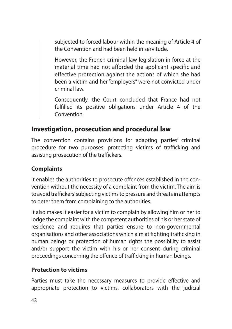subjected to forced labour within the meaning of Article 4 of the Convention and had been held in servitude.

 However, the French criminal law legislation in force at the material time had not afforded the applicant specific and effective protection against the actions of which she had been a victim and her "employers" were not convicted under criminal law.

 Consequently, the Court concluded that France had not fulfilled its positive obligations under Article 4 of the Convention.

## **Investigation, prosecution and procedural law**

The convention contains provisions for adapting parties' criminal procedure for two purposes: protecting victims of trafficking and assisting prosecution of the traffickers.

### **Complaints**

It enables the authorities to prosecute offences established in the convention without the necessity of a complaint from the victim. The aim is to avoid traffickers' subjecting victims to pressure and threats in attempts to deter them from complaining to the authorities.

It also makes it easier for a victim to complain by allowing him or her to lodge the complaint with the competent authorities of his or her state of residence and requires that parties ensure to non-governmental organisations and other associations which aim at fighting trafficking in human beings or protection of human rights the possibility to assist and/or support the victim with his or her consent during criminal proceedings concerning the offence of trafficking in human beings.

### **Protection to victims**

Parties must take the necessary measures to provide effective and appropriate protection to victims, collaborators with the judicial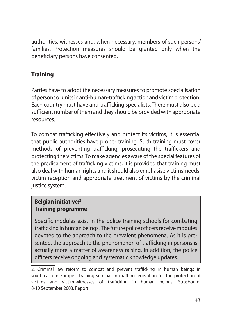authorities, witnesses and, when necessary, members of such persons' families. Protection measures should be granted only when the beneficiary persons have consented.

### **Training**

Parties have to adopt the necessary measures to promote specialisation of persons or units in anti-human-trafficking action and victimprotection. Each country must have anti-trafficking specialists. There must also be a sufficient number of them and they should be provided with appropriate resources.

To combat trafficking effectively and protect its victims, it is essential that public authorities have proper training. Such training must cover methods of preventing trafficking, prosecuting the traffickers and protecting the victims. To make agencies aware of the special features of the predicament of trafficking victims, it is provided that training must also deal with human rights and it should also emphasise victims' needs, victim reception and appropriate treatment of victims by the criminal justice system.

#### **Belgian initiative:2 Training programme**

Specific modules exist in the police training schools for combating trafficking in human beings. The future police officers receivemodules devoted to the approach to the prevalent phenomena. As it is presented, the approach to the phenomenon of trafficking in persons is actually more a matter of awareness raising. In addition, the police officers receive ongoing and systematic knowledge updates.

<sup>2.</sup> Criminal law reform to combat and prevent trafficking in human beings in south-eastern Europe. Training seminar in drafting legislation for the protection of victims and victim-witnesses of trafficking in human beings, Strasbourg, 8-10 September 2003. Report.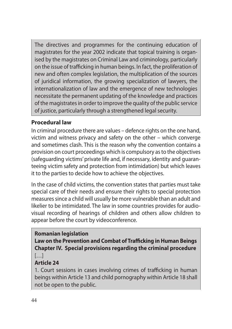The directives and programmes for the continuing education of magistrates for the year 2002 indicate that topical training is organised by the magistrates on Criminal Law and criminology, particularly on the issue of trafficking in human beings. In fact, the proliferation of new and often complex legislation, the multiplication of the sources of juridical information, the growing specialization of lawyers, the internationalization of law and the emergence of new technologies necessitate the permanent updating of the knowledge and practices of the magistrates in order to improve the quality of the public service of justice, particularly through a strengthened legal security.

### **Procedural law**

In criminal procedure there are values – defence rights on the one hand, victim and witness privacy and safety on the other – which converge and sometimes clash. This is the reason why the convention contains a provision on court proceedings which is compulsory as to the objectives (safeguarding victims' private life and, if necessary, identity and guaranteeing victim safety and protection from intimidation) but which leaves it to the parties to decide how to achieve the objectives.

In the case of child victims, the convention states that parties must take special care of their needs and ensure their rights to special protection measures since a child will usually be more vulnerable than an adult and likelier to be intimidated. The law in some countries provides for audiovisual recording of hearings of children and others allow children to appear before the court by videoconference.

### **Romanian legislation**

**Law on the Prevention and Combat of Trafficking in Human Beings Chapter IV. Special provisions regarding the criminal procedure**  $\left[ \ldots \right]$ 

## **Article 24**

1. Court sessions in cases involving crimes of trafficking in human beings within Article 13 and child pornography within Article 18 shall not be open to the public.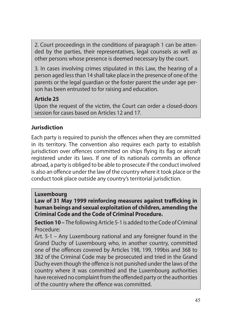2. Court proceedings in the conditions of paragraph 1 can be attended by the parties, their representatives, legal counsels as well as other persons whose presence is deemed necessary by the court.

3. In cases involving crimes stipulated in this Law, the hearing of a person aged less than 14 shall take place in the presence of one of the parents or the legal guardian or the foster parent the under age person has been entrusted to for raising and education.

### **Article 25**

Upon the request of the victim, the Court can order a closed-doors session for cases based on Articles 12 and 17.

### **Jurisdiction**

Each party is required to punish the offences when they are committed in its territory. The convention also requires each party to establish jurisdiction over offences committed on ships flying its flag or aircraft registered under its laws. If one of its nationals commits an offence abroad, a party is obliged to be able to prosecute if the conduct involved is also an offence under the law of the country where it took place or the conduct took place outside any country's territorial jurisdiction.

### **Luxembourg**

**Law of 31 May 1999 reinforcing measures against trafficking in human beings and sexual exploitation of children, amending the Criminal Code and the Code of Criminal Procedure.**

**Section 10 –** The following Article 5-1 is added to the Code of Criminal Procedure:

Art. 5-1 – Any Luxembourg national and any foreigner found in the Grand Duchy of Luxembourg who, in another country, committed one of the offences covered by Articles 198, 199, 199bis and 368 to 382 of the Criminal Code may be prosecuted and tried in the Grand Duchy even though the offence is not punished under the laws of the country where it was committed and the Luxembourg authorities have received no complaint from the offended party or the authorities of the country where the offence was committed.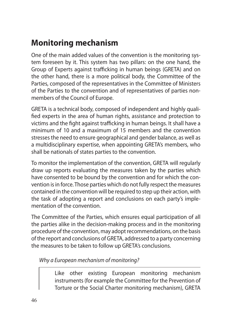# **Monitoring mechanism**

One of the main added values of the convention is the monitoring system foreseen by it. This system has two pillars: on the one hand, the Group of Experts against trafficking in human beings (GRETA) and on the other hand, there is a more political body, the Committee of the Parties, composed of the representatives in the Committee of Ministers of the Parties to the convention and of representatives of parties nonmembers of the Council of Europe.

GRETA is a technical body, composed of independent and highly qualified experts in the area of human rights, assistance and protection to victims and the fight against trafficking in human beings. It shall have a minimum of 10 and a maximum of 15 members and the convention stresses the need to ensure geographical and gender balance, as well as a multidisciplinary expertise, when appointing GRETA's members, who shall be nationals of states parties to the convention.

To monitor the implementation of the convention, GRETA will regularly draw up reports evaluating the measures taken by the parties which have consented to be bound by the convention and for which the convention is in force. Those parties which do not fully respect the measures contained in the convention will be required to step up their action, with the task of adopting a report and conclusions on each party's implementation of the convention.

The Committee of the Parties, which ensures equal participation of all the parties alike in the decision-making process and in the monitoring procedure of the convention, may adopt recommendations, on the basis of the report and conclusions of GRETA, addressed to a party concerning the measures to be taken to follow up GRETA's conclusions.

*Why a European mechanism of monitoring?*

 Like other existing European monitoring mechanism instruments (for example the Committee for the Prevention of Torture or the Social Charter monitoring mechanism), GRETA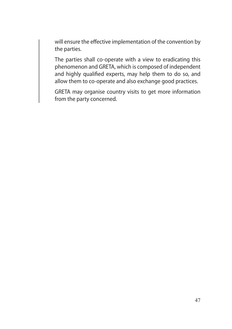will ensure the effective implementation of the convention by the parties.

 The parties shall co-operate with a view to eradicating this phenomenon and GRETA, which is composed of independent and highly qualified experts, may help them to do so, and allow them to co-operate and also exchange good practices.

 GRETA may organise country visits to get more information from the party concerned.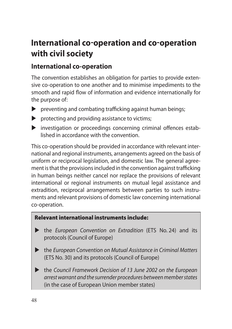# **International co-operation and co-operation with civil society**

## **International co-operation**

The convention establishes an obligation for parties to provide extensive co-operation to one another and to minimise impediments to the smooth and rapid flow of information and evidence internationally for the purpose of:

- $\triangleright$  preventing and combating trafficking against human beings;
- $\blacktriangleright$  protecting and providing assistance to victims;
- investigation or proceedings concerning criminal offences established in accordance with the convention.

This co-operation should be provided in accordance with relevant international and regional instruments, arrangements agreed on the basis of uniform or reciprocal legislation, and domestic law. The general agreement is that the provisions included in the convention against trafficking in human beings neither cancel nor replace the provisions of relevant international or regional instruments on mutual legal assistance and extradition, reciprocal arrangements between parties to such instruments and relevant provisions of domestic law concerning international co-operation.

### Relevant international instruments include:

- the *European Convention on Extradition* (ETS No. 24) and its protocols (Council of Europe)
- the *European Convention on Mutual Assistance in Criminal Matters*  (ETS No. 30) and its protocols (Council of Europe)
- the *Council Framework Decision of 13 June 2002 on the European arrest warrant and the surrender procedures between member states*  (in the case of European Union member states)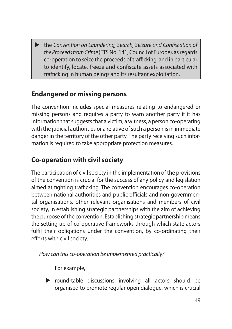the *Convention on Laundering, Search, Seizure and Confiscation of the Proceeds from Crime* (ETS No. 141, Council of Europe)*,* as regards co-operation to seize the proceeds of trafficking, and in particular to identify, locate, freeze and confiscate assets associated with trafficking in human beings and its resultant exploitation.

## **Endangered or missing persons**

The convention includes special measures relating to endangered or missing persons and requires a party to warn another party if it has information that suggests that a victim, a witness, a person co-operating with the judicial authorities or a relative of such a person is in immediate danger in the territory of the other party. The party receiving such information is required to take appropriate protection measures.

# **Co-operation with civil society**

The participation of civil society in the implementation of the provisions of the convention is crucial for the success of any policy and legislation aimed at fighting trafficking. The convention encourages co-operation between national authorities and public officials and non-governmental organisations, other relevant organisations and members of civil society, in establishing strategic partnerships with the aim of achieving the purpose of the convention. Establishing strategic partnership means the setting up of co-operative frameworks through which state actors fulfil their obligations under the convention, by co-ordinating their efforts with civil society.

*How can this co-operation be implemented practically?*

For example,

 round-table discussions involving all actors should be organised to promote regular open dialogue, which is crucial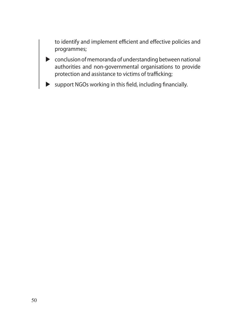to identify and implement efficient and effective policies and programmes;

- conclusion of memoranda of understanding between national authorities and non-governmental organisations to provide protection and assistance to victims of trafficking;
- support NGOs working in this field, including financially.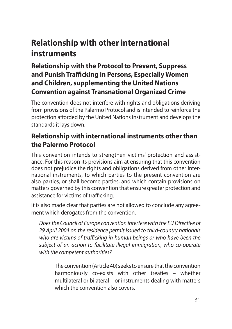# **Relationship with other international instruments**

## **Relationship with the Protocol to Prevent, Suppress and Punish Trafficking in Persons, Especially Women and Children, supplementing the United Nations Convention against Transnational Organized Crime**

The convention does not interfere with rights and obligations deriving from provisions of the Palermo Protocol and is intended to reinforce the protection afforded by the United Nations instrument and develops the standards it lays down.

## **Relationship with international instruments other than the Palermo Protocol**

This convention intends to strengthen victims' protection and assistance. For this reason its provisions aim at ensuring that this convention does not prejudice the rights and obligations derived from other international instruments, to which parties to the present convention are also parties, or shall become parties, and which contain provisions on matters governed by this convention that ensure greater protection and assistance for victims of trafficking.

It is also made clear that parties are not allowed to conclude any agreement which derogates from the convention.

*Does the Council of Europe convention interfere with the EU Directive of 29 April 2004 on the residence permit issued to third-country nationals who are victims of trafficking in human beings or who have been the subject of an action to facilitate illegal immigration, who co-operate with the competent authorities?*

 The convention (Article 40) seeks to ensure that the convention harmoniously co-exists with other treaties – whether multilateral or bilateral – or instruments dealing with matters which the convention also covers.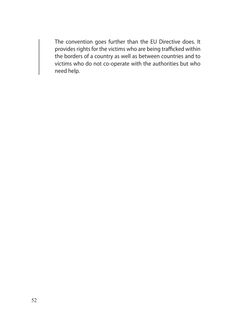The convention goes further than the EU Directive does. It provides rights for the victims who are being trafficked within the borders of a country as well as between countries and to victims who do not co-operate with the authorities but who need help.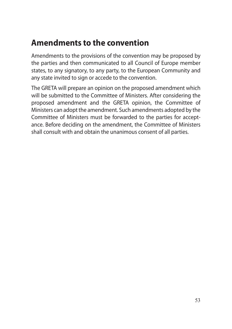# **Amendments to the convention**

Amendments to the provisions of the convention may be proposed by the parties and then communicated to all Council of Europe member states, to any signatory, to any party, to the European Community and any state invited to sign or accede to the convention.

The GRETA will prepare an opinion on the proposed amendment which will be submitted to the Committee of Ministers. After considering the proposed amendment and the GRETA opinion, the Committee of Ministers can adopt the amendment. Such amendments adopted by the Committee of Ministers must be forwarded to the parties for acceptance. Before deciding on the amendment, the Committee of Ministers shall consult with and obtain the unanimous consent of all parties.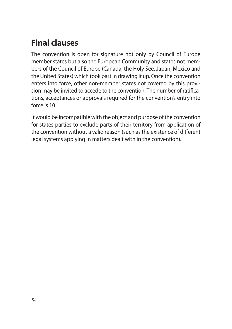# **Final clauses**

The convention is open for signature not only by Council of Europe member states but also the European Community and states not members of the Council of Europe (Canada, the Holy See, Japan, Mexico and the United States) which took part in drawing it up. Once the convention enters into force, other non-member states not covered by this provision may be invited to accede to the convention. The number of ratifications, acceptances or approvals required for the convention's entry into force is 10.

It would be incompatible with the object and purpose of the convention for states parties to exclude parts of their territory from application of the convention without a valid reason (such as the existence of different legal systems applying in matters dealt with in the convention).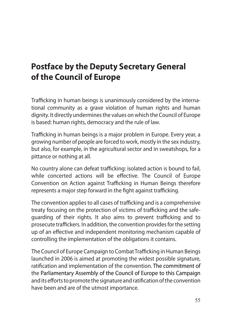# **Postface by the Deputy Secretary General of the Council of Europe**

Trafficking in human beings is unanimously considered by the international community as a grave violation of human rights and human dignity. It directly undermines the values on which the Council of Europe is based: human rights, democracy and the rule of law.

Trafficking in human beings is a major problem in Europe. Every year, a growing number of people are forced to work, mostly in the sex industry, but also, for example, in the agricultural sector and in sweatshops, for a pittance or nothing at all.

No country alone can defeat trafficking: isolated action is bound to fail, while concerted actions will be effective. The Council of Europe Convention on Action against Trafficking in Human Beings therefore represents a major step forward in the fight against trafficking.

The convention applies to all cases of trafficking and is a comprehensive treaty focusing on the protection of victims of trafficking and the safeguarding of their rights. It also aims to prevent trafficking and to prosecute traffickers. In addition, the convention provides for the setting up of an effective and independent monitoring mechanism capable of controlling the implementation of the obligations it contains.

The Council of Europe Campaign to Combat Trafficking in Human Beings launched in 2006 is aimed at promoting the widest possible signature, ratification and implementation of the convention. The commitment of the Parliamentary Assembly of the Council of Europe to this Campaign and its efforts to promote the signature and ratification of the convention have been and are of the utmost importance.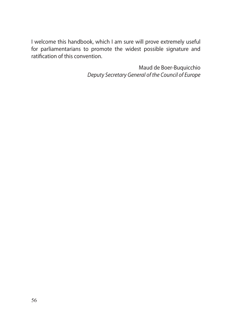I welcome this handbook, which I am sure will prove extremely useful for parliamentarians to promote the widest possible signature and ratification of this convention.

> Maud de Boer-Buquicchio *Deputy Secretary General of the Council of Europe*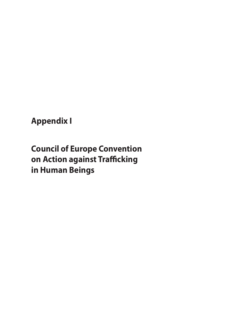**Appendix I**

**Council of Europe Convention on Action against Trafficking in Human Beings**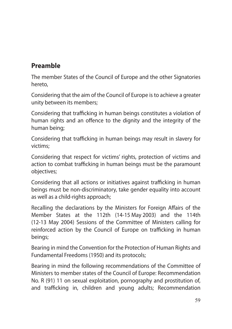## **Preamble**

The member States of the Council of Europe and the other Signatories hereto,

Considering that the aim of the Council of Europe is to achieve a greater unity between its members;

Considering that trafficking in human beings constitutes a violation of human rights and an offence to the dignity and the integrity of the human being;

Considering that trafficking in human beings may result in slavery for victims;

Considering that respect for victims' rights, protection of victims and action to combat trafficking in human beings must be the paramount objectives;

Considering that all actions or initiatives against trafficking in human beings must be non-discriminatory, take gender equality into account as well as a child-rights approach;

Recalling the declarations by the Ministers for Foreign Affairs of the Member States at the 112th (14-15 May 2003) and the 114th (12-13 May 2004) Sessions of the Committee of Ministers calling for reinforced action by the Council of Europe on trafficking in human beings;

Bearing in mind the Convention for the Protection of Human Rights and Fundamental Freedoms (1950) and its protocols;

Bearing in mind the following recommendations of the Committee of Ministers to member states of the Council of Europe: Recommendation No. R (91) 11 on sexual exploitation, pornography and prostitution of, and trafficking in, children and young adults; Recommendation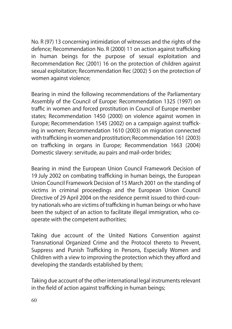No. R (97) 13 concerning intimidation of witnesses and the rights of the defence; Recommendation No. R (2000) 11 on action against trafficking in human beings for the purpose of sexual exploitation and Recommendation Rec (2001) 16 on the protection of children against sexual exploitation; Recommendation Rec (2002) 5 on the protection of women against violence;

Bearing in mind the following recommendations of the Parliamentary Assembly of the Council of Europe: Recommendation 1325 (1997) on traffic in women and forced prostitution in Council of Europe member states; Recommendation 1450 (2000) on violence against women in Europe; Recommendation 1545 (2002) on a campaign against trafficking in women; Recommendation 1610 (2003) on migration connected with trafficking in women and prostitution; Recommendation 161 (2003) on trafficking in organs in Europe; Recommendation 1663 (2004) Domestic slavery: servitude, au pairs and mail-order brides;

Bearing in mind the European Union Council Framework Decision of 19 July 2002 on combating trafficking in human beings, the European Union Council Framework Decision of 15 March 2001 on the standing of victims in criminal proceedings and the European Union Council Directive of 29 April 2004 on the residence permit issued to third-country nationals who are victims of trafficking in human beings or who have been the subject of an action to facilitate illegal immigration, who cooperate with the competent authorities;

Taking due account of the United Nations Convention against Transnational Organized Crime and the Protocol thereto to Prevent, Suppress and Punish Trafficking in Persons, Especially Women and Children with a view to improving the protection which they afford and developing the standards established by them;

Taking due account of the other international legal instruments relevant in the field of action against trafficking in human beings;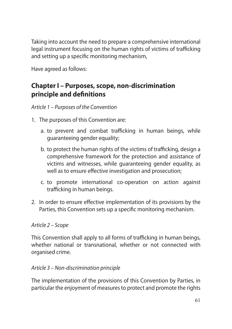Taking into account the need to prepare a comprehensive international legal instrument focusing on the human rights of victims of trafficking and setting up a specific monitoring mechanism,

Have agreed as follows:

# **Chapter I – Purposes, scope, non-discrimination principle and definitions**

*Article 1 – Purposes of the Convention*

- 1. The purposes of this Convention are:
	- a. to prevent and combat trafficking in human beings, while guaranteeing gender equality;
	- b. to protect the human rights of the victims of trafficking, design a comprehensive framework for the protection and assistance of victims and witnesses, while guaranteeing gender equality, as well as to ensure effective investigation and prosecution;
	- c. to promote international co-operation on action against trafficking in human beings.
- 2. In order to ensure effective implementation of its provisions by the Parties, this Convention sets up a specific monitoring mechanism.

### *Article 2 – Scope*

This Convention shall apply to all forms of trafficking in human beings, whether national or transnational, whether or not connected with organised crime.

### *Article 3 – Non-discrimination principle*

The implementation of the provisions of this Convention by Parties, in particular the enjoyment of measures to protect and promote the rights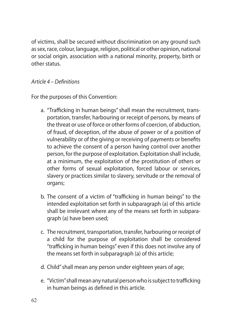of victims, shall be secured without discrimination on any ground such as sex, race, colour, language, religion, political or other opinion, national or social origin, association with a national minority, property, birth or other status.

### *Article 4 – Definitions*

For the purposes of this Convention:

- a. "Trafficking in human beings" shall mean the recruitment, transportation, transfer, harbouring or receipt of persons, by means of the threat or use of force or other forms of coercion, of abduction, of fraud, of deception, of the abuse of power or of a position of vulnerability or of the giving or receiving of payments or benefits to achieve the consent of a person having control over another person, for the purpose of exploitation. Exploitation shall include, at a minimum, the exploitation of the prostitution of others or other forms of sexual exploitation, forced labour or services, slavery or practices similar to slavery, servitude or the removal of organs;
- b. The consent of a victim of "trafficking in human beings" to the intended exploitation set forth in subparagraph (a) of this article shall be irrelevant where any of the means set forth in subparagraph (a) have been used;
- c. The recruitment, transportation, transfer, harbouring or receipt of a child for the purpose of exploitation shall be considered "trafficking in human beings" even if this does not involve any of the means set forth in subparagraph (a) of this article;
- d. Child" shall mean any person under eighteen years of age;
- e. "Victim" shall mean any natural person who is subject to trafficking in human beings as defined in this article.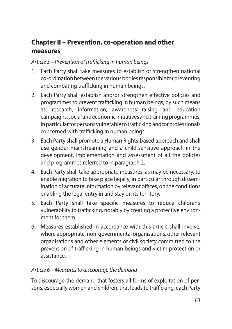## **Chapter II – Prevention, co-operation and other measures**

### *Article 5 – Prevention of trafficking in human beings*

- 1. Each Party shall take measures to establish or strengthen national co-ordination between the various bodies responsible forpreventing and combating trafficking in human beings.
- 2. Each Party shall establish and/or strengthen effective policies and programmes to prevent trafficking in human beings, by such means as: research, information, awareness raising and education campaigns, social and economic initiatives and training programmes, in particular for persons vulnerable to trafficking and forprofessionals concerned with trafficking in human beings.
- 3. Each Party shall promote a Human Rights-based approach and shall use gender mainstreaming and a child-sensitive approach in the development, implementation and assessment of all the policies and programmes referred to in paragraph 2.
- 4. Each Party shall take appropriate measures, as may be necessary, to enable migration to take place legally, in particular through dissemination of accurate information by relevant offices, on the conditions enabling the legal entry in and stay on its territory.
- 5. Each Party shall take specific measures to reduce children's vulnerability to trafficking, notably by creating a protective environment for them.
- 6. Measures established in accordance with this article shall involve, where appropriate, non-governmental organisations, other relevant organisations and other elements of civil society committed to the prevention of trafficking in human beings and victim protection or assistance.

### *Article 6 – Measures to discourage the demand*

To discourage the demand that fosters all forms of exploitation of persons, especially women and children, that leads to trafficking, each Party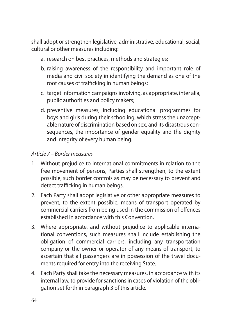shall adopt or strengthen legislative, administrative, educational, social, cultural or other measures including:

- a. research on best practices, methods and strategies;
- b. raising awareness of the responsibility and important role of media and civil society in identifying the demand as one of the root causes of trafficking in human beings;
- c. target information campaigns involving, as appropriate, inter alia, public authorities and policy makers;
- d. preventive measures, including educational programmes for boys and girls during their schooling, which stress the unacceptable nature of discrimination based on sex, and its disastrous consequences, the importance of gender equality and the dignity and integrity of every human being.

#### *Article 7 – Border measures*

- 1. Without prejudice to international commitments in relation to the free movement of persons, Parties shall strengthen, to the extent possible, such border controls as may be necessary to prevent and detect trafficking in human beings.
- 2. Each Party shall adopt legislative or other appropriate measures to prevent, to the extent possible, means of transport operated by commercial carriers from being used in the commission of offences established in accordance with this Convention.
- 3. Where appropriate, and without prejudice to applicable international conventions, such measures shall include establishing the obligation of commercial carriers, including any transportation company or the owner or operator of any means of transport, to ascertain that all passengers are in possession of the travel documents required for entry into the receiving State.
- 4. Each Party shall take the necessary measures, in accordance with its internal law, to provide for sanctions in cases of violation of the obligation set forth in paragraph 3 of this article.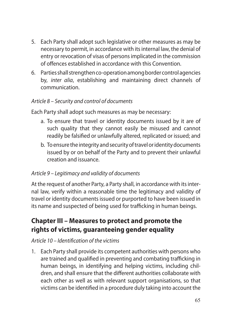- 5. Each Party shall adopt such legislative or other measures as may be necessary to permit, in accordance with its internal law, the denial of entry or revocation of visas of persons implicated in the commission of offences established in accordance with this Convention.
- 6. Parties shall strengthen co-operation among border controlagencies by, *inter alia*, establishing and maintaining direct channels of communication.

### *Article 8 – Security and control of documents*

Each Party shall adopt such measures as may be necessary:

- a. To ensure that travel or identity documents issued by it are of such quality that they cannot easily be misused and cannot readily be falsified or unlawfully altered, replicated or issued; and
- b. To ensure the integrity and security of travel or identitydocuments issued by or on behalf of the Party and to prevent their unlawful creation and issuance.

## *Article 9 – Legitimacy and validity of documents*

At the request of another Party, a Party shall, in accordance with its internal law, verify within a reasonable time the legitimacy and validity of travel or identity documents issued or purported to have been issued in its name and suspected of being used for trafficking in human beings.

## **Chapter III – Measures to protect and promote the rights of victims, guaranteeing gender equality**

### *Article 10 – Identification of the victims*

1. Each Party shall provide its competent authorities with persons who are trained and qualified in preventing and combating trafficking in human beings, in identifying and helping victims, including children, and shall ensure that the different authorities collaborate with each other as well as with relevant support organisations, so that victims can be identified in a procedure duly taking into account the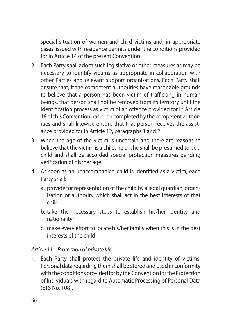special situation of women and child victims and, in appropriate cases, issued with residence permits under the conditions provided for in Article 14 of the present Convention.

- 2. Each Party shall adopt such legislative or other measures as may be necessary to identify victims as appropriate in collaboration with other Parties and relevant support organisations. Each Party shall ensure that, if the competent authorities have reasonable grounds to believe that a person has been victim of trafficking in human beings, that person shall not be removed from its territory until the identification process as victim of an offence provided for in Article 18 of this Convention has been completed by the competent authorities and shall likewise ensure that that person receives the assistance provided for in Article 12, paragraphs 1 and 2.
- 3. When the age of the victim is uncertain and there are reasons to believe that the victim is a child, he or she shall be presumed to be a child and shall be accorded special protection measures pending verification of his/her age.
- 4. As soon as an unaccompanied child is identified as a victim, each Party shall:
	- a. provide for representation of the child by a legal guardian, organisation or authority which shall act in the best interests of that child;
	- b. take the necessary steps to establish his/her identity and nationality;
	- c. make every effort to locate his/her family when this is in the best interests of the child.

### *Article 11 – Protection of private life*

1. Each Party shall protect the private life and identity of victims. Personal data regarding them shall be stored and used in conformity with the conditions provided for by the Convention for the Protection of Individuals with regard to Automatic Processing of Personal Data (ETS No. 108).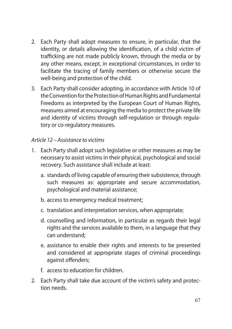- 2. Each Party shall adopt measures to ensure, in particular, that the identity, or details allowing the identification, of a child victim of trafficking are not made publicly known, through the media or by any other means, except, in exceptional circumstances, in order to facilitate the tracing of family members or otherwise secure the well-being and protection of the child.
- 3. Each Party shall consider adopting, in accordance with Article 10 of the Convention for the Protection of Human Rights and Fundamental Freedoms as interpreted by the European Court of Human Rights, measures aimed at encouraging the media to protect the private life and identity of victims through self-regulation or through regulatory or co-regulatory measures.

#### *Article 12 – Assistance to victims*

- 1. Each Party shall adopt such legislative or other measures as may be necessary to assist victims in their physical, psychological and social recovery. Such assistance shall include at least:
	- a. standards of living capable of ensuring their subsistence, through such measures as: appropriate and secure accommodation, psychological and material assistance;
	- b. access to emergency medical treatment;
	- c. translation and interpretation services, when appropriate;
	- d. counselling and information, in particular as regards their legal rights and the services available to them, in a language that they can understand;
	- e. assistance to enable their rights and interests to be presented and considered at appropriate stages of criminal proceedings against offenders;
	- f. access to education for children.
- 2. Each Party shall take due account of the victim's safety and protection needs.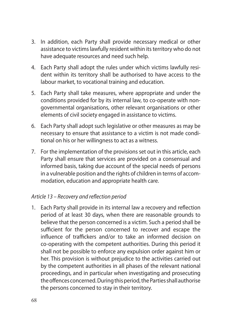- 3. In addition, each Party shall provide necessary medical or other assistance to victims lawfully resident within its territory who do not have adequate resources and need such help.
- 4. Each Party shall adopt the rules under which victims lawfully resident within its territory shall be authorised to have access to the labour market, to vocational training and education.
- 5. Each Party shall take measures, where appropriate and under the conditions provided for by its internal law, to co-operate with nongovernmental organisations, other relevant organisations or other elements of civil society engaged in assistance to victims.
- 6. Each Party shall adopt such legislative or other measures as may be necessary to ensure that assistance to a victim is not made conditional on his or her willingness to act as a witness.
- 7. For the implementation of the provisions set out in this article, each Party shall ensure that services are provided on a consensual and informed basis, taking due account of the special needs of persons in a vulnerable position and the rights of children in terms of accommodation, education and appropriate health care.

### *Article 13 – Recovery and reflection period*

1. Each Party shall provide in its internal law a recovery and reflection period of at least 30 days, when there are reasonable grounds to believe that the person concerned is a victim. Such a period shall be sufficient for the person concerned to recover and escape the influence of traffickers and/or to take an informed decision on co-operating with the competent authorities. During this period it shall not be possible to enforce any expulsion order against him or her. This provision is without prejudice to the activities carried out by the competent authorities in all phases of the relevant national proceedings, and in particular when investigating and prosecuting the offences concerned. During this period, the Parties shallauthorise the persons concerned to stay in their territory.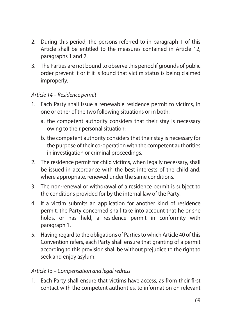- 2. During this period, the persons referred to in paragraph 1 of this Article shall be entitled to the measures contained in Article 12, paragraphs 1 and 2.
- 3. The Parties are not bound to observe this period if grounds of public order prevent it or if it is found that victim status is being claimed improperly.

### *Article 14 – Residence permit*

- 1. Each Party shall issue a renewable residence permit to victims, in one or other of the two following situations or in both:
	- a. the competent authority considers that their stay is necessary owing to their personal situation;
	- b. the competent authority considers that their stay is necessary for the purpose of their co-operation with the competent authorities in investigation or criminal proceedings.
- 2. The residence permit for child victims, when legally necessary, shall be issued in accordance with the best interests of the child and, where appropriate, renewed under the same conditions.
- 3. The non-renewal or withdrawal of a residence permit is subject to the conditions provided for by the internal law of the Party.
- 4. If a victim submits an application for another kind of residence permit, the Party concerned shall take into account that he or she holds, or has held, a residence permit in conformity with paragraph 1.
- 5. Having regard to the obligations of Parties to which Article 40 of this Convention refers, each Party shall ensure that granting of a permit according to this provision shall be without prejudice to the right to seek and enjoy asylum.

### *Article 15 – Compensation and legal redress*

1. Each Party shall ensure that victims have access, as from their first contact with the competent authorities, to information on relevant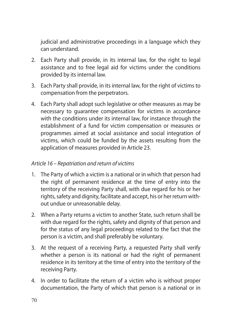judicial and administrative proceedings in a language which they can understand.

- 2. Each Party shall provide, in its internal law, for the right to legal assistance and to free legal aid for victims under the conditions provided by its internal law.
- 3. Each Party shall provide, in its internal law, for the right of victims to compensation from the perpetrators.
- 4. Each Party shall adopt such legislative or other measures as may be necessary to guarantee compensation for victims in accordance with the conditions under its internal law, for instance through the establishment of a fund for victim compensation or measures or programmes aimed at social assistance and social integration of victims, which could be funded by the assets resulting from the application of measures provided in Article 23.

#### *Article 16 – Repatriation and return of victims*

- 1. The Party of which a victim is a national or in which that person had the right of permanent residence at the time of entry into the territory of the receiving Party shall, with due regard for his or her rights, safety and dignity, facilitate and accept, his or her return without undue or unreasonable delay.
- 2. When a Party returns a victim to another State, such return shall be with due regard for the rights, safety and dignity of that person and for the status of any legal proceedings related to the fact that the person is a victim, and shall preferably be voluntary.
- 3. At the request of a receiving Party, a requested Party shall verify whether a person is its national or had the right of permanent residence in its territory at the time of entry into the territory of the receiving Party.
- 4. In order to facilitate the return of a victim who is without proper documentation, the Party of which that person is a national or in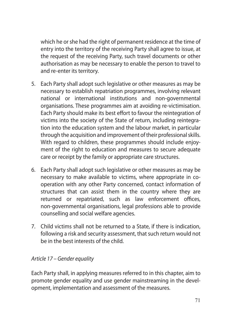which he or she had the right of permanent residence at the time of entry into the territory of the receiving Party shall agree to issue, at the request of the receiving Party, such travel documents or other authorisation as may be necessary to enable the person to travel to and re-enter its territory.

- 5. Each Party shall adopt such legislative or other measures as may be necessary to establish repatriation programmes, involving relevant national or international institutions and non-governmental organisations. These programmes aim at avoiding re-victimisation. Each Party should make its best effort to favour the reintegration of victims into the society of the State of return, including reintegration into the education system and the labour market, in particular through the acquisition and improvement of their professional skills. With regard to children, these programmes should include enjoyment of the right to education and measures to secure adequate care or receipt by the family or appropriate care structures.
- 6. Each Party shall adopt such legislative or other measures as may be necessary to make available to victims, where appropriate in cooperation with any other Party concerned, contact information of structures that can assist them in the country where they are returned or repatriated, such as law enforcement offices, non-governmental organisations, legal professions able to provide counselling and social welfare agencies.
- 7. Child victims shall not be returned to a State, if there is indication, following a risk and security assessment, that such return would not be in the best interests of the child.

### *Article 17 – Gender equality*

Each Party shall, in applying measures referred to in this chapter, aim to promote gender equality and use gender mainstreaming in the development, implementation and assessment of the measures.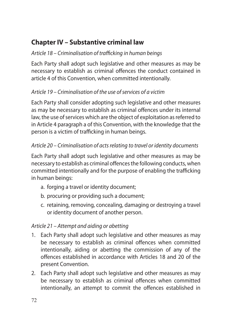# **Chapter IV – Substantive criminal law**

### *Article 18 – Criminalisation of trafficking in human beings*

Each Party shall adopt such legislative and other measures as may be necessary to establish as criminal offences the conduct contained in article 4 of this Convention, when committed intentionally.

## *Article 19 – Criminalisation of the use of services of a victim*

Each Party shall consider adopting such legislative and other measures as may be necessary to establish as criminal offences under its internal law, the use of services which are the object of exploitation as referred to in Article 4 paragraph a of this Convention, with the knowledge that the person is a victim of trafficking in human beings.

## *Article 20 – Criminalisation of acts relating to travel or identity documents*

Each Party shall adopt such legislative and other measures as may be necessary to establish as criminal offences the following conducts, when committed intentionally and for the purpose of enabling the trafficking in human beings:

- a. forging a travel or identity document;
- b. procuring or providing such a document;
- c. retaining, removing, concealing, damaging or destroying a travel or identity document of another person.

## *Article 21 – Attempt and aiding or abetting*

- 1. Each Party shall adopt such legislative and other measures as may be necessary to establish as criminal offences when committed intentionally, aiding or abetting the commission of any of the offences established in accordance with Articles 18 and 20 of the present Convention.
- 2. Each Party shall adopt such legislative and other measures as may be necessary to establish as criminal offences when committed intentionally, an attempt to commit the offences established in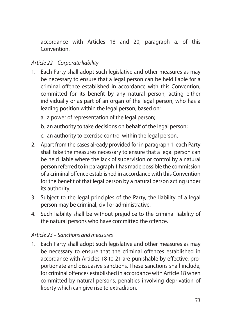accordance with Articles 18 and 20, paragraph a, of this Convention.

## *Article 22 – Corporate liability*

1. Each Party shall adopt such legislative and other measures as may be necessary to ensure that a legal person can be held liable for a criminal offence established in accordance with this Convention, committed for its benefit by any natural person, acting either individually or as part of an organ of the legal person, who has a leading position within the legal person, based on:

a. a power of representation of the legal person;

- b. an authority to take decisions on behalf of the legal person;
- c. an authority to exercise control within the legal person.
- 2. Apart from the cases already provided for in paragraph 1, each Party shall take the measures necessary to ensure that a legal person can be held liable where the lack of supervision or control by a natural person referred to in paragraph 1 has made possible the commission of a criminal offence established in accordance with this Convention for the benefit of that legal person by a natural person acting under its authority.
- 3. Subject to the legal principles of the Party, the liability of a legal person may be criminal, civil or administrative.
- 4. Such liability shall be without prejudice to the criminal liability of the natural persons who have committed the offence.

## *Article 23 – Sanctions and measures*

1. Each Party shall adopt such legislative and other measures as may be necessary to ensure that the criminal offences established in accordance with Articles 18 to 21 are punishable by effective, proportionate and dissuasive sanctions. These sanctions shall include, for criminal offences established in accordance with Article 18 when committed by natural persons, penalties involving deprivation of liberty which can give rise to extradition.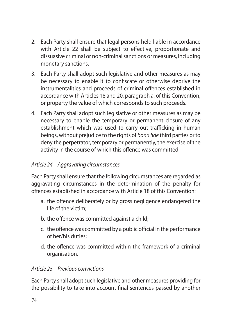- 2. Each Party shall ensure that legal persons held liable in accordance with Article 22 shall be subject to effective, proportionate and dissuasive criminal or non-criminal sanctions or measures, including monetary sanctions.
- 3. Each Party shall adopt such legislative and other measures as may be necessary to enable it to confiscate or otherwise deprive the instrumentalities and proceeds of criminal offences established in accordance with Articles 18 and 20, paragraph a, of this Convention, or property the value of which corresponds to such proceeds.
- 4. Each Party shall adopt such legislative or other measures as may be necessary to enable the temporary or permanent closure of any establishment which was used to carry out trafficking in human beings, without prejudice to the rights of *bona fide* third parties or to deny the perpetrator, temporary or permanently, the exercise of the activity in the course of which this offence was committed.

# *Article 24 – Aggravating circumstances*

Each Party shall ensure that the following circumstances are regarded as aggravating circumstances in the determination of the penalty for offences established in accordance with Article 18 of this Convention:

- a. the offence deliberately or by gross negligence endangered the life of the victim;
- b. the offence was committed against a child;
- c. the offence was committed by a public official in the performance of her/his duties;
- d. the offence was committed within the framework of a criminal organisation.

# *Article 25 – Previous convictions*

Each Party shall adopt such legislative and other measures providing for the possibility to take into account final sentences passed by another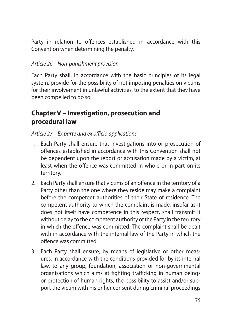Party in relation to offences established in accordance with this Convention when determining the penalty.

## *Article 26 – Non-punishment provision*

Each Party shall, in accordance with the basic principles of its legal system, provide for the possibility of not imposing penalties on victims for their involvement in unlawful activities, to the extent that they have been compelled to do so.

# **Chapter V – Investigation, prosecution and procedural law**

## *Article 27 – Ex parte and ex officio applications*

- 1. Each Party shall ensure that investigations into or prosecution of offences established in accordance with this Convention shall not be dependent upon the report or accusation made by a victim, at least when the offence was committed in whole or in part on its territory.
- 2. Each Party shall ensure that victims of an offence in the territory of a Party other than the one where they reside may make a complaint before the competent authorities of their State of residence. The competent authority to which the complaint is made, insofar as it does not itself have competence in this respect, shall transmit it without delay to the competent authority of the Party in the territory in which the offence was committed. The complaint shall be dealt with in accordance with the internal law of the Party in which the offence was committed.
- 3. Each Party shall ensure, by means of legislative or other measures, in accordance with the conditions provided for by its internal law, to any group, foundation, association or non-governmental organisations which aims at fighting trafficking in human beings or protection of human rights, the possibility to assist and/or support the victim with his or her consent during criminal proceedings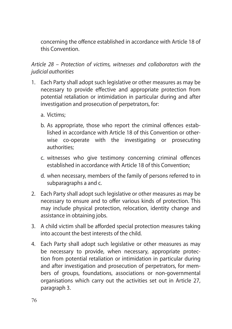concerning the offence established in accordance with Article 18 of this Convention.

*Article 28 – Protection of victims, witnesses and collaborators with the judicial authorities* 

- 1. Each Party shall adopt such legislative or other measures as may be necessary to provide effective and appropriate protection from potential retaliation or intimidation in particular during and after investigation and prosecution of perpetrators, for:
	- a. Victims;
	- b. As appropriate, those who report the criminal offences established in accordance with Article 18 of this Convention or otherwise co-operate with the investigating or prosecuting authorities;
	- c. witnesses who give testimony concerning criminal offences established in accordance with Article 18 of this Convention;
	- d. when necessary, members of the family of persons referred to in subparagraphs a and c.
- 2. Each Party shall adopt such legislative or other measures as may be necessary to ensure and to offer various kinds of protection. This may include physical protection, relocation, identity change and assistance in obtaining jobs.
- 3. A child victim shall be afforded special protection measures taking into account the best interests of the child.
- 4. Each Party shall adopt such legislative or other measures as may be necessary to provide, when necessary, appropriate protection from potential retaliation or intimidation in particular during and after investigation and prosecution of perpetrators, for members of groups, foundations, associations or non-governmental organisations which carry out the activities set out in Article 27, paragraph 3.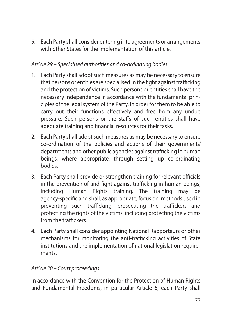5. Each Party shall consider entering into agreements or arrangements with other States for the implementation of this article.

## *Article 29 – Specialised authorities and co-ordinating bodies*

- 1. Each Party shall adopt such measures as may be necessary to ensure that persons or entities are specialised in the fight against trafficking and the protection of victims. Such persons or entities shall have the necessary independence in accordance with the fundamental principles of the legal system of the Party, in order for them to be able to carry out their functions effectively and free from any undue pressure. Such persons or the staffs of such entities shall have adequate training and financial resources for their tasks.
- 2. Each Party shall adopt such measures as may be necessary to ensure co-ordination of the policies and actions of their governments' departments and other public agencies against trafficking in human beings, where appropriate, through setting up co-ordinating bodies.
- 3. Each Party shall provide or strengthen training for relevant officials in the prevention of and fight against trafficking in human beings, including Human Rights training. The training may be agency-specific and shall, as appropriate, focus on: methods used in preventing such trafficking, prosecuting the traffickers and protecting the rights of the victims, including protecting the victims from the traffickers.
- 4. Each Party shall consider appointing National Rapporteurs or other mechanisms for monitoring the anti-trafficking activities of State institutions and the implementation of national legislation requirements.

## *Article 30 – Court proceedings*

In accordance with the Convention for the Protection of Human Rights and Fundamental Freedoms, in particular Article 6, each Party shall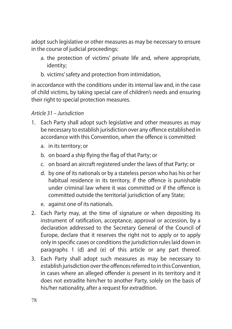adopt such legislative or other measures as may be necessary to ensure in the course of judicial proceedings:

- a. the protection of victims' private life and, where appropriate, identity;
- b. victims' safety and protection from intimidation,

in accordance with the conditions under its internal law and, in the case of child victims, by taking special care of children's needs and ensuring their right to special protection measures.

## *Article 31 – Jurisdiction*

- 1. Each Party shall adopt such legislative and other measures as may be necessary to establish jurisdiction over any offence established in accordance with this Convention, when the offence is committed:
	- a. in its territory; or
	- b. on board a ship flying the flag of that Party; or
	- c. on board an aircraft registered under the laws of that Party; or
	- d. by one of its nationals or by a stateless person who has his or her habitual residence in its territory, if the offence is punishable under criminal law where it was committed or if the offence is committed outside the territorial jurisdiction of any State;
	- e. against one of its nationals.
- 2. Each Party may, at the time of signature or when depositing its instrument of ratification, acceptance, approval or accession, by a declaration addressed to the Secretary General of the Council of Europe, declare that it reserves the right not to apply or to apply only in specific cases or conditions the jurisdiction rules laid down in paragraphs 1 (d) and (e) of this article or any part thereof.
- 3. Each Party shall adopt such measures as may be necessary to establish jurisdiction over the offences referred to in this Convention, in cases where an alleged offender is present in its territory and it does not extradite him/her to another Party, solely on the basis of his/her nationality, after a request for extradition.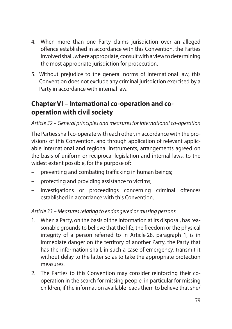- 4. When more than one Party claims jurisdiction over an alleged offence established in accordance with this Convention, the Parties involved shall, where appropriate, consult with a view to determining the most appropriate jurisdiction for prosecution.
- 5. Without prejudice to the general norms of international law, this Convention does not exclude any criminal jurisdiction exercised by a Party in accordance with internal law.

# **Chapter VI – International co-operation and cooperation with civil society**

# *Article 32 – General principles and measures for international co-operation*

The Parties shall co-operate with each other, in accordance with the provisions of this Convention, and through application of relevant applicable international and regional instruments, arrangements agreed on the basis of uniform or reciprocal legislation and internal laws, to the widest extent possible, for the purpose of:

- preventing and combating trafficking in human beings;
- protecting and providing assistance to victims;
- investigations or proceedings concerning criminal offences established in accordance with this Convention.

## *Article 33 – Measures relating to endangered or missing persons*

- 1. When a Party, on the basis of the information at its disposal, has reasonable grounds to believe that the life, the freedom or the physical integrity of a person referred to in Article 28, paragraph 1, is in immediate danger on the territory of another Party, the Party that has the information shall, in such a case of emergency, transmit it without delay to the latter so as to take the appropriate protection measures.
- 2. The Parties to this Convention may consider reinforcing their cooperation in the search for missing people, in particular for missing children, if the information available leads them to believe that she/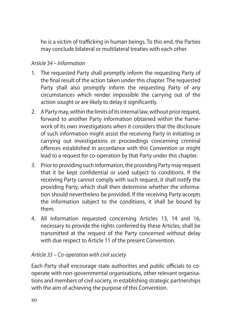he is a victim of trafficking in human beings. To this end, the Parties may conclude bilateral or multilateral treaties with each other.

#### *Article 34 – Information*

- 1. The requested Party shall promptly inform the requesting Party of the final result of the action taken under this chapter. The requested Party shall also promptly inform the requesting Party of any circumstances which render impossible the carrying out of the action sought or are likely to delay it significantly.
- 2. A Party may, within the limits of its internal law, without prior request, forward to another Party information obtained within the framework of its own investigations when it considers that the disclosure of such information might assist the receiving Party in initiating or carrying out investigations or proceedings concerning criminal offences established in accordance with this Convention or might lead to a request for co-operation by that Party under this chapter.
- 3. Prior to providing such information, the providing Party may request that it be kept confidential or used subject to conditions. If the receiving Party cannot comply with such request, it shall notify the providing Party, which shall then determine whether the information should nevertheless be provided. If the receiving Party accepts the information subject to the conditions, it shall be bound by them.
- 4. All information requested concerning Articles 13, 14 and 16, necessary to provide the rights conferred by these Articles, shall be transmitted at the request of the Party concerned without delay with due respect to Article 11 of the present Convention.

## *Article 35 – Co-operation with civil society*

Each Party shall encourage state authorities and public officials to cooperate with non-governmental organisations, other relevant organisations and members of civil society, in establishing strategic partnerships with the aim of achieving the purpose of this Convention.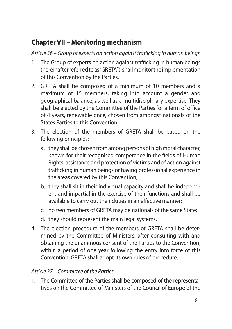# **Chapter VII – Monitoring mechanism**

*Article 36 – Group of experts on action against trafficking in human beings* 

- 1. The Group of experts on action against trafficking in human beings (hereinafter referred to as "GRETA"), shall monitor theimplementation of this Convention by the Parties.
- 2. GRETA shall be composed of a minimum of 10 members and a maximum of 15 members, taking into account a gender and geographical balance, as well as a multidisciplinary expertise. They shall be elected by the Committee of the Parties for a term of office of 4 years, renewable once, chosen from amongst nationals of the States Parties to this Convention.
- 3. The election of the members of GRETA shall be based on the following principles:
	- a. they shall be chosen from among persons of high moral character, known for their recognised competence in the fields of Human Rights, assistance and protection of victims and of action against trafficking in human beings or having professional experience in the areas covered by this Convention;
	- b. they shall sit in their individual capacity and shall be independent and impartial in the exercise of their functions and shall be available to carry out their duties in an effective manner;
	- c. no two members of GRETA may be nationals of the same State;
	- d. they should represent the main legal systems.
- 4. The election procedure of the members of GRETA shall be determined by the Committee of Ministers, after consulting with and obtaining the unanimous consent of the Parties to the Convention, within a period of one year following the entry into force of this Convention. GRETA shall adopt its own rules of procedure.

# *Article 37 – Committee of the Parties*

1. The Committee of the Parties shall be composed of the representatives on the Committee of Ministers of the Council of Europe of the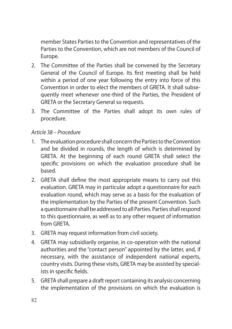member States Parties to the Convention and representatives of the Parties to the Convention, which are not members of the Council of Europe.

- 2. The Committee of the Parties shall be convened by the Secretary General of the Council of Europe. Its first meeting shall be held within a period of one year following the entry into force of this Convention in order to elect the members of GRETA. It shall subsequently meet whenever one-third of the Parties, the President of GRETA or the Secretary General so requests.
- 3. The Committee of the Parties shall adopt its own rules of procedure.

## *Article 38 – Procedure*

- 1. The evaluation procedure shall concern the Parties to the Convention and be divided in rounds, the length of which is determined by GRETA. At the beginning of each round GRETA shall select the specific provisions on which the evaluation procedure shall be based.
- 2. GRETA shall define the most appropriate means to carry out this evaluation. GRETA may in particular adopt a questionnaire for each evaluation round, which may serve as a basis for the evaluation of the implementation by the Parties of the present Convention. Such a questionnaire shall be addressed to all Parties. Parties shall respond to this questionnaire, as well as to any other request of information from GRFTA
- 3. GRETA may request information from civil society.
- 4. GRETA may subsidiarily organise, in co-operation with the national authorities and the "contact person" appointed by the latter, and, if necessary, with the assistance of independent national experts, country visits. During these visits, GRETA may be assisted by specialists in specific fields.
- 5. GRETA shall prepare a draft report containing its analysis concerning the implementation of the provisions on which the evaluation is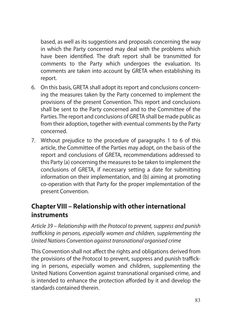based, as well as its suggestions and proposals concerning the way in which the Party concerned may deal with the problems which have been identified. The draft report shall be transmitted for comments to the Party which undergoes the evaluation. Its comments are taken into account by GRETA when establishing its report.

- 6. On this basis, GRETA shall adopt its report and conclusions concerning the measures taken by the Party concerned to implement the provisions of the present Convention. This report and conclusions shall be sent to the Party concerned and to the Committee of the Parties. The report and conclusions of GRETA shall be made public as from their adoption, together with eventual comments by the Party concerned.
- 7. Without prejudice to the procedure of paragraphs 1 to 6 of this article, the Committee of the Parties may adopt, on the basis of the report and conclusions of GRETA, recommendations addressed to this Party (a) concerning the measures to be taken to implement the conclusions of GRETA, if necessary setting a date for submitting information on their implementation, and (b) aiming at promoting co-operation with that Party for the proper implementation of the present Convention.

# **Chapter VIII – Relationship with other international instruments**

*Article 39 – Relationship with the Protocol to prevent, suppress and punish trafficking in persons, especially women and children, supplementing the United Nations Convention against transnational organised crime* 

This Convention shall not affect the rights and obligations derived from the provisions of the Protocol to prevent, suppress and punish trafficking in persons, especially women and children, supplementing the United Nations Convention against transnational organised crime, and is intended to enhance the protection afforded by it and develop the standards contained therein.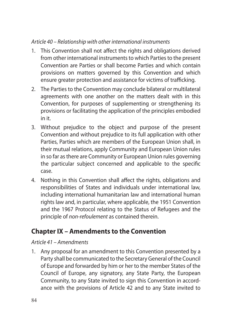# *Article 40 – Relationship with other international instruments*

- 1. This Convention shall not affect the rights and obligations derived from other international instruments to which Parties to the present Convention are Parties or shall become Parties and which contain provisions on matters governed by this Convention and which ensure greater protection and assistance for victims of trafficking.
- 2. The Parties to the Convention may conclude bilateral or multilateral agreements with one another on the matters dealt with in this Convention, for purposes of supplementing or strengthening its provisions or facilitating the application of the principles embodied in it.
- 3. Without prejudice to the object and purpose of the present Convention and without prejudice to its full application with other Parties, Parties which are members of the European Union shall, in their mutual relations, apply Community and European Union rules in so far as there are Community or European Union rules governing the particular subject concerned and applicable to the specific case.
- 4. Nothing in this Convention shall affect the rights, obligations and responsibilities of States and individuals under international law, including international humanitarian law and international human rights law and, in particular, where applicable, the 1951 Convention and the 1967 Protocol relating to the Status of Refugees and the principle of *non-refoulement* as contained therein.

# **Chapter IX – Amendments to the Convention**

# *Article 41 – Amendments*

1. Any proposal for an amendment to this Convention presented by a Party shall be communicated to the Secretary General of the Council of Europe and forwarded by him or her to the member States of the Council of Europe, any signatory, any State Party, the European Community, to any State invited to sign this Convention in accordance with the provisions of Article 42 and to any State invited to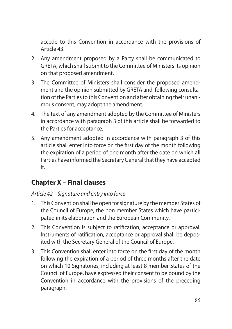accede to this Convention in accordance with the provisions of Article 43.

- 2. Any amendment proposed by a Party shall be communicated to GRETA, which shall submit to the Committee of Ministers its opinion on that proposed amendment.
- 3. The Committee of Ministers shall consider the proposed amendment and the opinion submitted by GRETA and, following consultation of the Parties to this Convention and after obtaining their unanimous consent, may adopt the amendment.
- 4. The text of any amendment adopted by the Committee of Ministers in accordance with paragraph 3 of this article shall be forwarded to the Parties for acceptance.
- 5. Any amendment adopted in accordance with paragraph 3 of this article shall enter into force on the first day of the month following the expiration of a period of one month after the date on which all Parties have informed the Secretary General that they have accepted it.

# **Chapter X – Final clauses**

# *Article 42 – Signature and entry into force*

- 1. This Convention shall be open for signature by the member States of the Council of Europe, the non member States which have participated in its elaboration and the European Community.
- 2. This Convention is subject to ratification, acceptance or approval. Instruments of ratification, acceptance or approval shall be deposited with the Secretary General of the Council of Europe.
- 3. This Convention shall enter into force on the first day of the month following the expiration of a period of three months after the date on which 10 Signatories, including at least 8 member States of the Council of Europe, have expressed their consent to be bound by the Convention in accordance with the provisions of the preceding paragraph.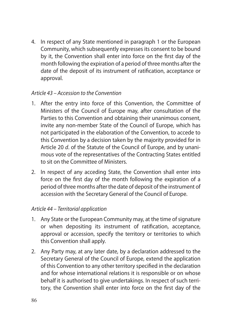4. In respect of any State mentioned in paragraph 1 or the European Community, which subsequently expresses its consent to be bound by it, the Convention shall enter into force on the first day of the month following the expiration of a period of three months after the date of the deposit of its instrument of ratification, acceptance or approval.

#### *Article 43 – Accession to the Convention*

- 1. After the entry into force of this Convention, the Committee of Ministers of the Council of Europe may, after consultation of the Parties to this Convention and obtaining their unanimous consent, invite any non-member State of the Council of Europe, which has not participated in the elaboration of the Convention, to accede to this Convention by a decision taken by the majority provided for in Article 20 *d*. of the Statute of the Council of Europe, and by unanimous vote of the representatives of the Contracting States entitled to sit on the Committee of Ministers.
- 2. In respect of any acceding State, the Convention shall enter into force on the first day of the month following the expiration of a period of three months after the date of deposit of the instrument of accession with the Secretary General of the Council of Europe.

## *Article 44 – Territorial application*

- 1. Any State or the European Community may, at the time of signature or when depositing its instrument of ratification, acceptance, approval or accession, specify the territory or territories to which this Convention shall apply.
- 2. Any Party may, at any later date, by a declaration addressed to the Secretary General of the Council of Europe, extend the application of this Convention to any other territory specified in the declaration and for whose international relations it is responsible or on whose behalf it is authorised to give undertakings. In respect of such territory, the Convention shall enter into force on the first day of the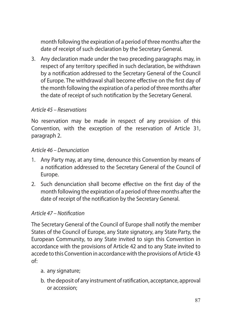month following the expiration of a period of three months after the date of receipt of such declaration by the Secretary General.

3. Any declaration made under the two preceding paragraphs may, in respect of any territory specified in such declaration, be withdrawn by a notification addressed to the Secretary General of the Council of Europe. The withdrawal shall become effective on the first day of the month following the expiration of a period of three months after the date of receipt of such notification by the Secretary General.

#### *Article 45 – Reservations*

No reservation may be made in respect of any provision of this Convention, with the exception of the reservation of Article 31, paragraph 2.

#### *Article 46 – Denunciation*

- 1. Any Party may, at any time, denounce this Convention by means of a notification addressed to the Secretary General of the Council of Europe.
- 2. Such denunciation shall become effective on the first day of the month following the expiration of a period of three months after the date of receipt of the notification by the Secretary General.

## *Article 47 – Notification*

The Secretary General of the Council of Europe shall notify the member States of the Council of Europe, any State signatory, any State Party, the European Community, to any State invited to sign this Convention in accordance with the provisions of Article 42 and to any State invited to accede to this Convention in accordance with the provisions of Article 43 of:

- a. any signature;
- b. the deposit of any instrument of ratification, acceptance, approval or accession;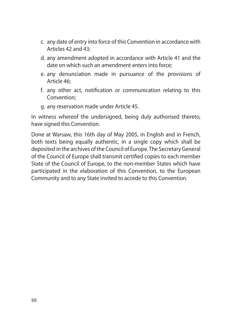- c. any date of entry into force of this Convention in accordance with Articles 42 and 43;
- d. any amendment adopted in accordance with Article 41 and the date on which such an amendment enters into force;
- e. any denunciation made in pursuance of the provisions of Article 46;
- f. any other act, notification or communication relating to this Convention;
- g. any reservation made under Article 45.

In witness whereof the undersigned, being duly authorised thereto, have signed this Convention.

Done at Warsaw, this 16th day of May 2005, in English and in French, both texts being equally authentic, in a single copy which shall be deposited in the archives of the Council of Europe. The Secretary General of the Council of Europe shall transmit certified copies to each member State of the Council of Europe, to the non-member States which have participated in the elaboration of this Convention, to the European Community and to any State invited to accede to this Convention.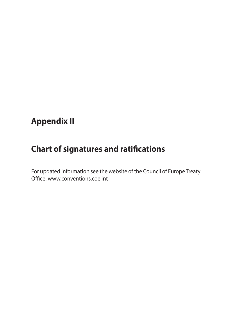# **Appendix II**

# **Chart of signatures and ratifications**

For updated information see the website of the Council of Europe Treaty Office: www.conventions.coe.int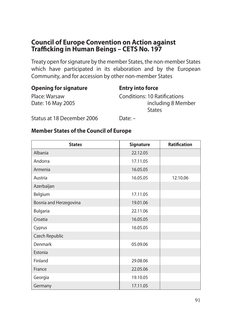# **Council of Europe Convention on Action against Trafficking in Human Beings – CETS No. 197**

Treaty open for signature by the member States, the non-member States which have participated in its elaboration and by the European Community, and for accession by other non-member States

| <b>Opening for signature</b> | <b>Entry into force</b>             |
|------------------------------|-------------------------------------|
| Place: Warsaw                | <b>Conditions: 10 Ratifications</b> |
| Date: 16 May 2005            | including 8 Member                  |
|                              | <b>States</b>                       |
| Status at 18 December 2006   | Date: $-$                           |

#### **Member States of the Council of Europe**

| <b>States</b>          | <b>Signature</b> | <b>Ratification</b> |
|------------------------|------------------|---------------------|
| Albania                | 22.12.05         |                     |
| Andorra                | 17.11.05         |                     |
| Armenia                | 16.05.05         |                     |
| Austria                | 16.05.05         | 12.10.06            |
| Azerbaïjan             |                  |                     |
| Belgium                | 17.11.05         |                     |
| Bosnia and Herzegovina | 19.01.06         |                     |
| <b>Bulgaria</b>        | 22.11.06         |                     |
| Croatia                | 16.05.05         |                     |
| Cyprus                 | 16.05.05         |                     |
| Czech Republic         |                  |                     |
| Denmark                | 05.09.06         |                     |
| Estonia                |                  |                     |
| Finland                | 29.08.06         |                     |
| France                 | 22.05.06         |                     |
| Georgia                | 19.10.05         |                     |
| Germany                | 17.11.05         |                     |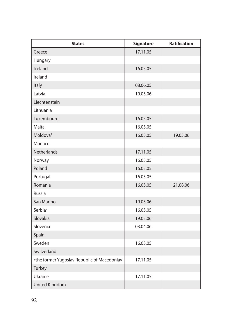| <b>States</b>                               | <b>Signature</b> | <b>Ratification</b> |
|---------------------------------------------|------------------|---------------------|
| Greece                                      | 17.11.05         |                     |
| Hungary                                     |                  |                     |
| Iceland                                     | 16.05.05         |                     |
| Ireland                                     |                  |                     |
| Italy                                       | 08.06.05         |                     |
| Latvia                                      | 19.05.06         |                     |
| Liechtenstein                               |                  |                     |
| Lithuania                                   |                  |                     |
| Luxembourg                                  | 16.05.05         |                     |
| Malta                                       | 16.05.05         |                     |
| Moldova <sup>1</sup>                        | 16.05.05         | 19.05.06            |
| Monaco                                      |                  |                     |
| <b>Netherlands</b>                          | 17.11.05         |                     |
| Norway                                      | 16.05.05         |                     |
| Poland                                      | 16.05.05         |                     |
| Portugal                                    | 16.05.05         |                     |
| Romania                                     | 16.05.05         | 21.08.06            |
| Russia                                      |                  |                     |
| San Marino                                  | 19.05.06         |                     |
| Serbia <sup>2</sup>                         | 16.05.05         |                     |
| Slovakia                                    | 19.05.06         |                     |
| Slovenia                                    | 03.04.06         |                     |
| Spain                                       |                  |                     |
| Sweden                                      | 16.05.05         |                     |
| Switzerland                                 |                  |                     |
| «the former Yugoslav Republic of Macedonia» | 17.11.05         |                     |
| Turkey                                      |                  |                     |
| Ukraine                                     | 17.11.05         |                     |
| United Kingdom                              |                  |                     |